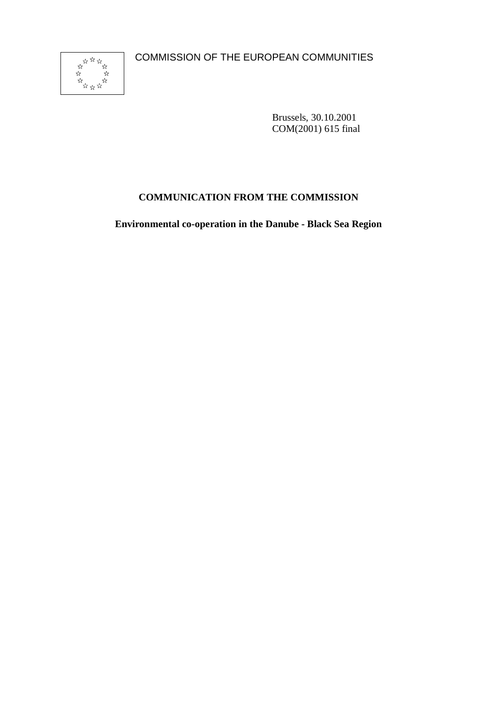COMMISSION OF THE EUROPEAN COMMUNITIES



Brussels, 30.10.2001 COM(2001) 615 final

# **COMMUNICATION FROM THE COMMISSION**

**Environmental co-operation in the Danube - Black Sea Region**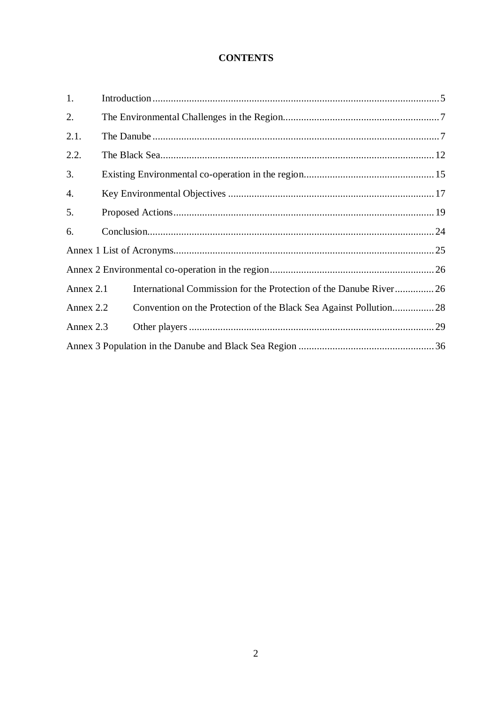### **CONTENTS**

| 1.        |                                                                   |
|-----------|-------------------------------------------------------------------|
| 2.        |                                                                   |
| 2.1.      |                                                                   |
| 2.2.      |                                                                   |
| 3.        |                                                                   |
| 4.        |                                                                   |
| 5.        |                                                                   |
| 6.        |                                                                   |
|           |                                                                   |
|           |                                                                   |
| Annex 2.1 | International Commission for the Protection of the Danube River26 |
| Annex 2.2 | Convention on the Protection of the Black Sea Against Pollution28 |
| Annex 2.3 |                                                                   |
|           |                                                                   |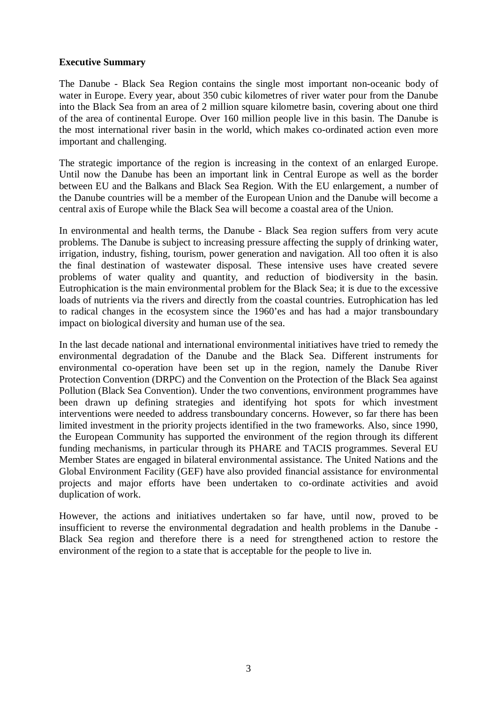#### **Executive Summary**

The Danube - Black Sea Region contains the single most important non-oceanic body of water in Europe. Every year, about 350 cubic kilometres of river water pour from the Danube into the Black Sea from an area of 2 million square kilometre basin, covering about one third of the area of continental Europe. Over 160 million people live in this basin. The Danube is the most international river basin in the world, which makes co-ordinated action even more important and challenging.

The strategic importance of the region is increasing in the context of an enlarged Europe. Until now the Danube has been an important link in Central Europe as well as the border between EU and the Balkans and Black Sea Region. With the EU enlargement, a number of the Danube countries will be a member of the European Union and the Danube will become a central axis of Europe while the Black Sea will become a coastal area of the Union.

In environmental and health terms, the Danube - Black Sea region suffers from very acute problems. The Danube is subject to increasing pressure affecting the supply of drinking water, irrigation, industry, fishing, tourism, power generation and navigation. All too often it is also the final destination of wastewater disposal. These intensive uses have created severe problems of water quality and quantity, and reduction of biodiversity in the basin. Eutrophication is the main environmental problem for the Black Sea; it is due to the excessive loads of nutrients via the rivers and directly from the coastal countries. Eutrophication has led to radical changes in the ecosystem since the 1960'es and has had a major transboundary impact on biological diversity and human use of the sea.

In the last decade national and international environmental initiatives have tried to remedy the environmental degradation of the Danube and the Black Sea. Different instruments for environmental co-operation have been set up in the region, namely the Danube River Protection Convention (DRPC) and the Convention on the Protection of the Black Sea against Pollution (Black Sea Convention). Under the two conventions, environment programmes have been drawn up defining strategies and identifying hot spots for which investment interventions were needed to address transboundary concerns. However, so far there has been limited investment in the priority projects identified in the two frameworks. Also, since 1990, the European Community has supported the environment of the region through its different funding mechanisms, in particular through its PHARE and TACIS programmes. Several EU Member States are engaged in bilateral environmental assistance. The United Nations and the Global Environment Facility (GEF) have also provided financial assistance for environmental projects and major efforts have been undertaken to co-ordinate activities and avoid duplication of work.

However, the actions and initiatives undertaken so far have, until now, proved to be insufficient to reverse the environmental degradation and health problems in the Danube - Black Sea region and therefore there is a need for strengthened action to restore the environment of the region to a state that is acceptable for the people to live in.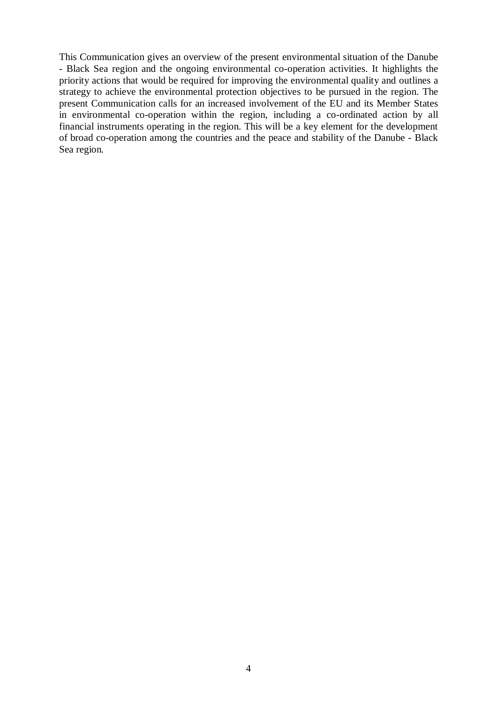This Communication gives an overview of the present environmental situation of the Danube - Black Sea region and the ongoing environmental co-operation activities. It highlights the priority actions that would be required for improving the environmental quality and outlines a strategy to achieve the environmental protection objectives to be pursued in the region. The present Communication calls for an increased involvement of the EU and its Member States in environmental co-operation within the region, including a co-ordinated action by all financial instruments operating in the region. This will be a key element for the development of broad co-operation among the countries and the peace and stability of the Danube - Black Sea region*.*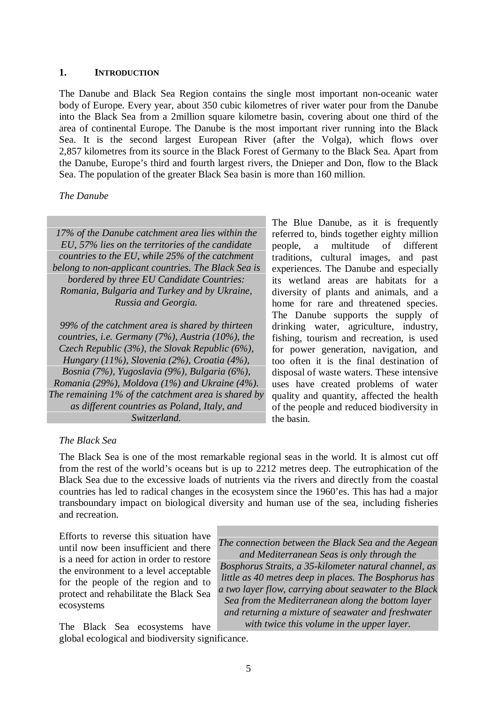#### **1. INTRODUCTION**

The Danube and Black Sea Region contains the single most important non-oceanic water body of Europe. Every year, about 350 cubic kilometres of river water pour from the Danube into the Black Sea from a 2million square kilometre basin, covering about one third of the area of continental Europe. The Danube is the most important river running into the Black Sea. It is the second largest European River (after the Volga), which flows over 2,857 kilometres from its source in the Black Forest of Germany to the Black Sea. Apart from the Danube, Europe's third and fourth largest rivers, the Dnieper and Don, flow to the Black Sea. The population of the greater Black Sea basin is more than 160 million.

#### *The Danube*

*17% of the Danube catchment area lies within the EU, 57% lies on the territories of the candidate countries to the EU, while 25% of the catchment belong to non-applicant countries. The Black Sea is bordered by three EU Candidate Countries: Romania, Bulgaria and Turkey and by Ukraine, Russia and Georgia.*

*99% of the catchment area is shared by thirteen countries, i.e. Germany (7%), Austria (10%), the Czech Republic (3%), the Slovak Republic (6%), Hungary (11%), Slovenia (2%), Croatia (4%), Bosnia (7%), Yugoslavia (9%), Bulgaria (6%), Romania (29%), Moldova (1%) and Ukraine (4%). The remaining 1% of the catchment area is shared by as different countries as Poland, Italy, and Switzerland.*

The Blue Danube, as it is frequently referred to, binds together eighty million people, a multitude of different traditions, cultural images, and past experiences. The Danube and especially its wetland areas are habitats for a diversity of plants and animals, and a home for rare and threatened species. The Danube supports the supply of drinking water, agriculture, industry, fishing, tourism and recreation, is used for power generation, navigation, and too often it is the final destination of disposal of waste waters. These intensive uses have created problems of water quality and quantity, affected the health of the people and reduced biodiversity in the basin*.*

#### *The Black Sea*

The Black Sea is one of the most remarkable regional seas in the world. It is almost cut off from the rest of the world's oceans but is up to 2212 metres deep. The eutrophication of the Black Sea due to the excessive loads of nutrients via the rivers and directly from the coastal countries has led to radical changes in the ecosystem since the 1960'es. This has had a major transboundary impact on biological diversity and human use of the sea, including fisheries and recreation.

Efforts to reverse this situation have until now been insufficient and there is a need for action in order to restore the environment to a level acceptable for the people of the region and to protect and rehabilitate the Black Sea ecosystems

*The connection between the Black Sea and the Aegean and Mediterranean Seas is only through the Bosphorus Straits, a 35-kilometer natural channel, as little as 40 metres deep in places. The Bosphorus has a two layer flow, carrying about seawater to the Black Sea from the Mediterranean along the bottom layer and returning a mixture of seawater and freshwater with twice this volume in the upper layer.*

The Black Sea ecosystems have global ecological and biodiversity significance.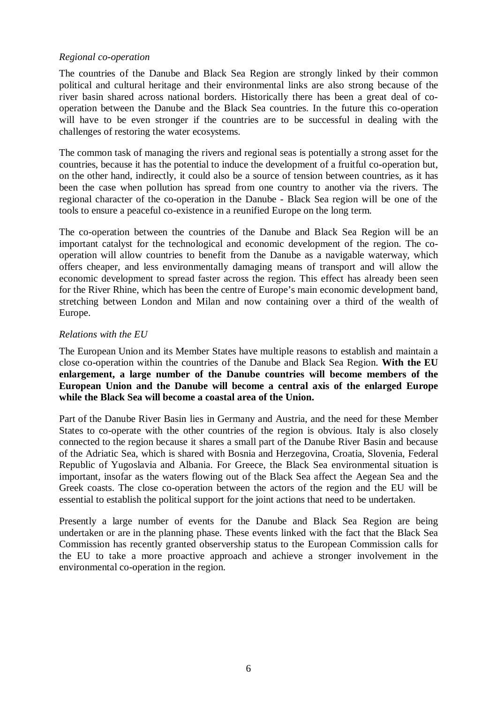### *Regional co-operation*

The countries of the Danube and Black Sea Region are strongly linked by their common political and cultural heritage and their environmental links are also strong because of the river basin shared across national borders. Historically there has been a great deal of cooperation between the Danube and the Black Sea countries. In the future this co-operation will have to be even stronger if the countries are to be successful in dealing with the challenges of restoring the water ecosystems.

The common task of managing the rivers and regional seas is potentially a strong asset for the countries, because it has the potential to induce the development of a fruitful co-operation but, on the other hand, indirectly, it could also be a source of tension between countries, as it has been the case when pollution has spread from one country to another via the rivers. The regional character of the co-operation in the Danube - Black Sea region will be one of the tools to ensure a peaceful co-existence in a reunified Europe on the long term.

The co-operation between the countries of the Danube and Black Sea Region will be an important catalyst for the technological and economic development of the region. The cooperation will allow countries to benefit from the Danube as a navigable waterway, which offers cheaper, and less environmentally damaging means of transport and will allow the economic development to spread faster across the region. This effect has already been seen for the River Rhine, which has been the centre of Europe's main economic development band, stretching between London and Milan and now containing over a third of the wealth of Europe.

### *Relations with the EU*

The European Union and its Member States have multiple reasons to establish and maintain a close co-operation within the countries of the Danube and Black Sea Region. **With the EU enlargement, a large number of the Danube countries will become members of the European Union and the Danube will become a central axis of the enlarged Europe while the Black Sea will become a coastal area of the Union.**

Part of the Danube River Basin lies in Germany and Austria, and the need for these Member States to co-operate with the other countries of the region is obvious. Italy is also closely connected to the region because it shares a small part of the Danube River Basin and because of the Adriatic Sea, which is shared with Bosnia and Herzegovina, Croatia, Slovenia, Federal Republic of Yugoslavia and Albania. For Greece, the Black Sea environmental situation is important, insofar as the waters flowing out of the Black Sea affect the Aegean Sea and the Greek coasts. The close co-operation between the actors of the region and the EU will be essential to establish the political support for the joint actions that need to be undertaken.

Presently a large number of events for the Danube and Black Sea Region are being undertaken or are in the planning phase. These events linked with the fact that the Black Sea Commission has recently granted observership status to the European Commission calls for the EU to take a more proactive approach and achieve a stronger involvement in the environmental co-operation in the region.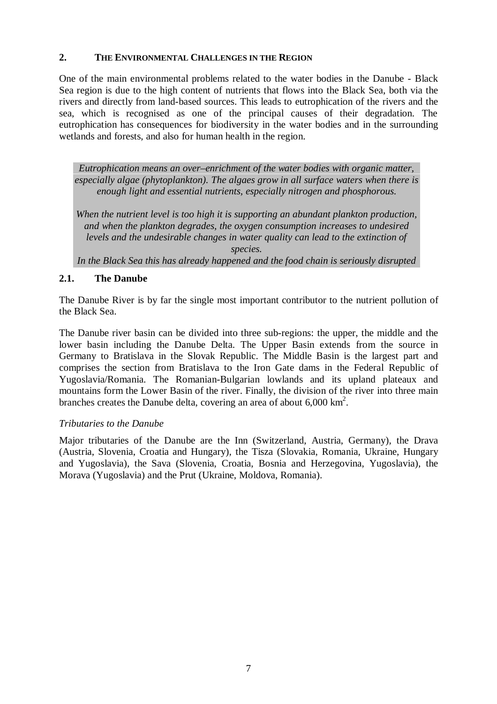#### **2. THE ENVIRONMENTAL CHALLENGES IN THE REGION**

One of the main environmental problems related to the water bodies in the Danube - Black Sea region is due to the high content of nutrients that flows into the Black Sea, both via the rivers and directly from land-based sources. This leads to eutrophication of the rivers and the sea, which is recognised as one of the principal causes of their degradation. The eutrophication has consequences for biodiversity in the water bodies and in the surrounding wetlands and forests, and also for human health in the region.

*Eutrophication means an over–enrichment of the water bodies with organic matter, especially algae (phytoplankton). The algaes grow in all surface waters when there is enough light and essential nutrients, especially nitrogen and phosphorous.*

*When the nutrient level is too high it is supporting an abundant plankton production, and when the plankton degrades, the oxygen consumption increases to undesired levels and the undesirable changes in water quality can lead to the extinction of species.*

*In the Black Sea this has already happened and the food chain is seriously disrupted*

### **2.1. The Danube**

The Danube River is by far the single most important contributor to the nutrient pollution of the Black Sea.

The Danube river basin can be divided into three sub-regions: the upper, the middle and the lower basin including the Danube Delta. The Upper Basin extends from the source in Germany to Bratislava in the Slovak Republic. The Middle Basin is the largest part and comprises the section from Bratislava to the Iron Gate dams in the Federal Republic of Yugoslavia/Romania. The Romanian-Bulgarian lowlands and its upland plateaux and mountains form the Lower Basin of the river. Finally, the division of the river into three main branches creates the Danube delta, covering an area of about  $6,000 \text{ km}^2$ .

### *Tributaries to the Danube*

Major tributaries of the Danube are the Inn (Switzerland, Austria, Germany), the Drava (Austria, Slovenia, Croatia and Hungary), the Tisza (Slovakia, Romania, Ukraine, Hungary and Yugoslavia), the Sava (Slovenia, Croatia, Bosnia and Herzegovina, Yugoslavia), the Morava (Yugoslavia) and the Prut (Ukraine, Moldova, Romania).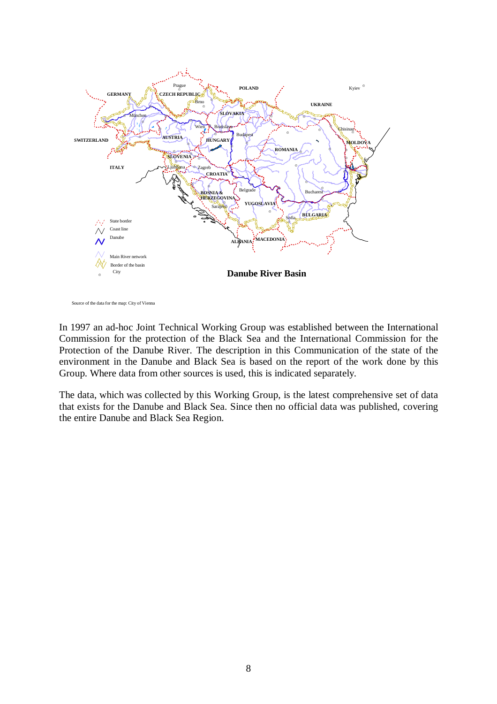

Source of the data for the map: City of Vienna

In 1997 an ad-hoc Joint Technical Working Group was established between the International Commission for the protection of the Black Sea and the International Commission for the Protection of the Danube River. The description in this Communication of the state of the environment in the Danube and Black Sea is based on the report of the work done by this Group. Where data from other sources is used, this is indicated separately.

The data, which was collected by this Working Group, is the latest comprehensive set of data that exists for the Danube and Black Sea. Since then no official data was published, covering the entire Danube and Black Sea Region.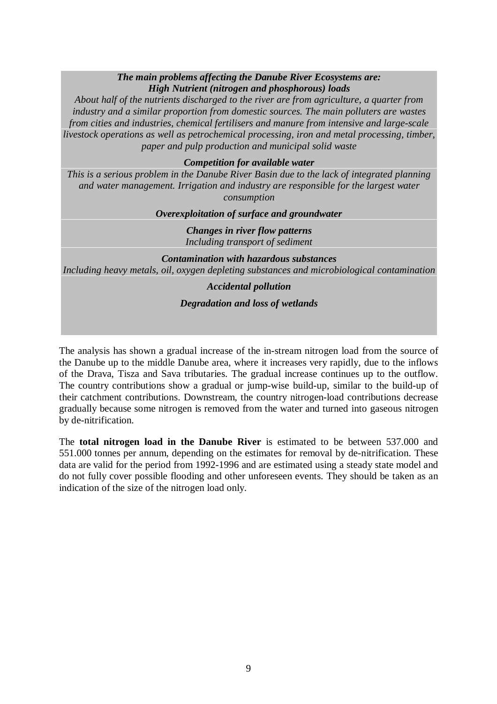### *The main problems affecting the Danube River Ecosystems are: High Nutrient (nitrogen and phosphorous) loads*

*About half of the nutrients discharged to the river are from agriculture, a quarter from industry and a similar proportion from domestic sources. The main polluters are wastes from cities and industries, chemical fertilisers and manure from intensive and large-scale livestock operations as well as petrochemical processing, iron and metal processing, timber, paper and pulp production and municipal solid waste*

### *Competition for available water*

*This is a serious problem in the Danube River Basin due to the lack of integrated planning and water management. Irrigation and industry are responsible for the largest water consumption*

#### *Overexploitation of surface and groundwater*

*Changes in river flow patterns Including transport of sediment*

#### *Contamination with hazardous substances Including heavy metals, oil, oxygen depleting substances and microbiological contamination*

### *Accidental pollution*

### *Degradation and loss of wetlands*

The analysis has shown a gradual increase of the in-stream nitrogen load from the source of the Danube up to the middle Danube area, where it increases very rapidly, due to the inflows of the Drava, Tisza and Sava tributaries. The gradual increase continues up to the outflow. The country contributions show a gradual or jump-wise build-up, similar to the build-up of their catchment contributions. Downstream, the country nitrogen-load contributions decrease gradually because some nitrogen is removed from the water and turned into gaseous nitrogen by de-nitrification.

The **total nitrogen load in the Danube River** is estimated to be between 537.000 and 551.000 tonnes per annum, depending on the estimates for removal by de-nitrification. These data are valid for the period from 1992-1996 and are estimated using a steady state model and do not fully cover possible flooding and other unforeseen events. They should be taken as an indication of the size of the nitrogen load only.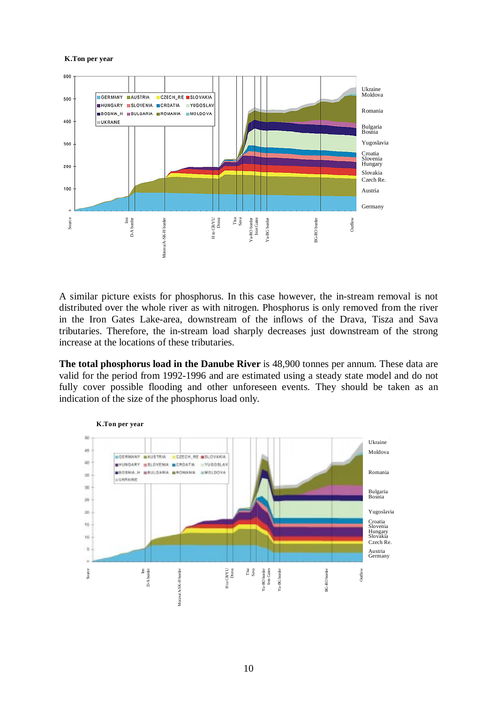#### **K.Ton per year**



A similar picture exists for phosphorus. In this case however, the in-stream removal is not distributed over the whole river as with nitrogen. Phosphorus is only removed from the river in the Iron Gates Lake-area, downstream of the inflows of the Drava, Tisza and Sava tributaries. Therefore, the in-stream load sharply decreases just downstream of the strong increase at the locations of these tributaries.

**The total phosphorus load in the Danube River** is 48,900 tonnes per annum. These data are valid for the period from 1992-1996 and are estimated using a steady state model and do not fully cover possible flooding and other unforeseen events. They should be taken as an indication of the size of the phosphorus load only.

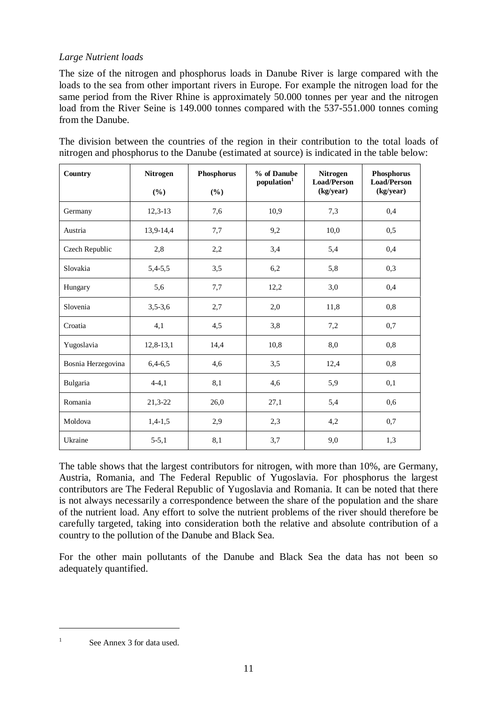### *Large Nutrient loads*

The size of the nitrogen and phosphorus loads in Danube River is large compared with the loads to the sea from other important rivers in Europe. For example the nitrogen load for the same period from the River Rhine is approximately 50.000 tonnes per year and the nitrogen load from the River Seine is 149.000 tonnes compared with the 537-551.000 tonnes coming from the Danube.

The division between the countries of the region in their contribution to the total loads of nitrogen and phosphorus to the Danube (estimated at source) is indicated in the table below:

| Country            | <b>Nitrogen</b><br>(%) | Phosphorus<br>(%) | % of Danube<br>population <sup>1</sup> | <b>Nitrogen</b><br><b>Load/Person</b><br>(kg/year) | Phosphorus<br><b>Load/Person</b><br>(kg/year) |
|--------------------|------------------------|-------------------|----------------------------------------|----------------------------------------------------|-----------------------------------------------|
| Germany            | $12,3-13$              | 7,6               | 10,9                                   | 7,3                                                | 0,4                                           |
| Austria            | 13,9-14,4              | 7,7               | 9,2                                    | 10,0                                               | 0,5                                           |
| Czech Republic     | 2,8                    | 2,2               | 3,4                                    | 5,4                                                | 0,4                                           |
| Slovakia           | $5,4-5,5$              | 3,5               | 6,2                                    | 5,8                                                | 0,3                                           |
| Hungary            | 5,6                    | 7,7               | 12,2                                   | 3,0                                                | 0,4                                           |
| Slovenia           | $3,5-3,6$              | 2,7               | 2,0                                    | 11,8                                               | 0,8                                           |
| Croatia            | 4,1                    | 4,5               | 3,8                                    | 7,2                                                | 0,7                                           |
| Yugoslavia         | $12,8-13,1$            | 14,4              | 10,8                                   | 8,0                                                | 0,8                                           |
| Bosnia Herzegovina | $6,4-6,5$              | 4,6               | 3,5                                    | 12,4                                               | 0,8                                           |
| Bulgaria           | $4 - 4, 1$             | 8,1               | 4,6                                    | 5,9                                                | 0,1                                           |
| Romania            | 21,3-22                | 26,0              | 27,1                                   | 5,4                                                | 0,6                                           |
| Moldova            | $1,4-1,5$              | 2,9               | 2,3                                    | 4,2                                                | 0,7                                           |
| Ukraine            | $5 - 5,1$              | 8,1               | 3,7                                    | 9,0                                                | 1,3                                           |

The table shows that the largest contributors for nitrogen, with more than 10%, are Germany, Austria, Romania, and The Federal Republic of Yugoslavia. For phosphorus the largest contributors are The Federal Republic of Yugoslavia and Romania. It can be noted that there is not always necessarily a correspondence between the share of the population and the share of the nutrient load. Any effort to solve the nutrient problems of the river should therefore be carefully targeted, taking into consideration both the relative and absolute contribution of a country to the pollution of the Danube and Black Sea.

For the other main pollutants of the Danube and Black Sea the data has not been so adequately quantified.

 $1 \qquad$  See Annex 3 for data used.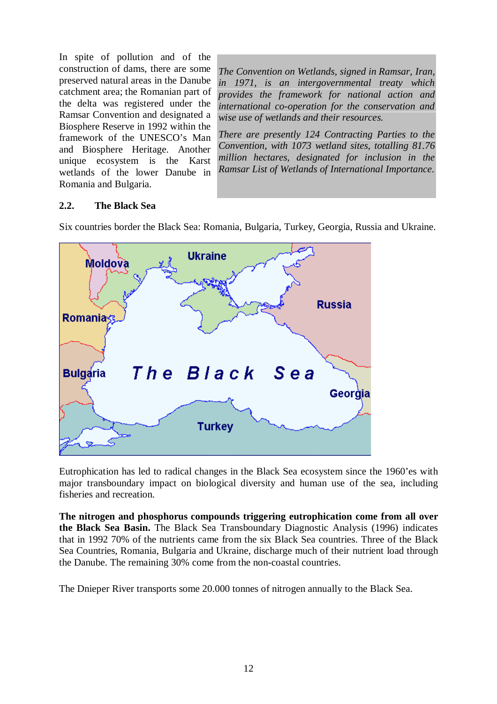In spite of pollution and of the construction of dams, there are some preserved natural areas in the Danube catchment area; the Romanian part of the delta was registered under the Ramsar Convention and designated a Biosphere Reserve in 1992 within the framework of the UNESCO's Man and Biosphere Heritage. Another unique ecosystem is the Karst wetlands of the lower Danube in Romania and Bulgaria.

*The Convention on Wetlands, signed in Ramsar, Iran, in 1971, is an intergovernmental treaty which provides the framework for national action and international co-operation for the conservation and wise use of wetlands and their resources.*

*There are presently 124 Contracting Parties to the Convention, with 1073 wetland sites, totalling 81.76 million hectares, designated for inclusion in the Ramsar List of Wetlands of International Importance.*

### **2.2. The Black Sea**

Six countries border the Black Sea: Romania, Bulgaria, Turkey, Georgia, Russia and Ukraine.



Eutrophication has led to radical changes in the Black Sea ecosystem since the 1960'es with major transboundary impact on biological diversity and human use of the sea, including fisheries and recreation.

**The nitrogen and phosphorus compounds triggering eutrophication come from all over the Black Sea Basin.** The Black Sea Transboundary Diagnostic Analysis (1996) indicates that in 1992 70% of the nutrients came from the six Black Sea countries. Three of the Black Sea Countries, Romania, Bulgaria and Ukraine, discharge much of their nutrient load through the Danube. The remaining 30% come from the non-coastal countries.

The Dnieper River transports some 20.000 tonnes of nitrogen annually to the Black Sea.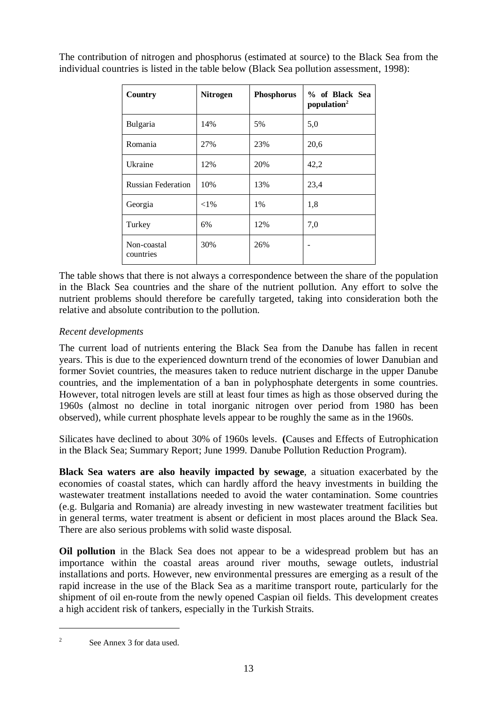| Country                   | <b>Nitrogen</b> | <b>Phosphorus</b> | % of Black Sea<br>population <sup>2</sup> |
|---------------------------|-----------------|-------------------|-------------------------------------------|
| Bulgaria                  | 14%             | 5%                | 5,0                                       |
| Romania                   | 27%             | 23%               | 20,6                                      |
| Ukraine                   | 12%             | 20%               | 42,2                                      |
| <b>Russian Federation</b> | 10%             | 13%               | 23,4                                      |
| Georgia                   | ${<}1\%$        | $1\%$             | 1,8                                       |
| Turkey                    | 6%              | 12%               | 7,0                                       |
| Non-coastal<br>countries  | 30%             | 26%               |                                           |

The contribution of nitrogen and phosphorus (estimated at source) to the Black Sea from the individual countries is listed in the table below (Black Sea pollution assessment, 1998):

The table shows that there is not always a correspondence between the share of the population in the Black Sea countries and the share of the nutrient pollution. Any effort to solve the nutrient problems should therefore be carefully targeted, taking into consideration both the relative and absolute contribution to the pollution.

### *Recent developments*

The current load of nutrients entering the Black Sea from the Danube has fallen in recent years. This is due to the experienced downturn trend of the economies of lower Danubian and former Soviet countries, the measures taken to reduce nutrient discharge in the upper Danube countries, and the implementation of a ban in polyphosphate detergents in some countries. However, total nitrogen levels are still at least four times as high as those observed during the 1960s (almost no decline in total inorganic nitrogen over period from 1980 has been observed), while current phosphate levels appear to be roughly the same as in the 1960s.

Silicates have declined to about 30% of 1960s levels. **(**Causes and Effects of Eutrophication in the Black Sea; Summary Report; June 1999. Danube Pollution Reduction Program).

**Black Sea waters are also heavily impacted by sewage**, a situation exacerbated by the economies of coastal states, which can hardly afford the heavy investments in building the wastewater treatment installations needed to avoid the water contamination. Some countries (e.g. Bulgaria and Romania) are already investing in new wastewater treatment facilities but in general terms, water treatment is absent or deficient in most places around the Black Sea. There are also serious problems with solid waste disposal.

**Oil pollution** in the Black Sea does not appear to be a widespread problem but has an importance within the coastal areas around river mouths, sewage outlets, industrial installations and ports. However, new environmental pressures are emerging as a result of the rapid increase in the use of the Black Sea as a maritime transport route, particularly for the shipment of oil en-route from the newly opened Caspian oil fields. This development creates a high accident risk of tankers, especially in the Turkish Straits.

<sup>&</sup>lt;sup>2</sup> See Annex 3 for data used.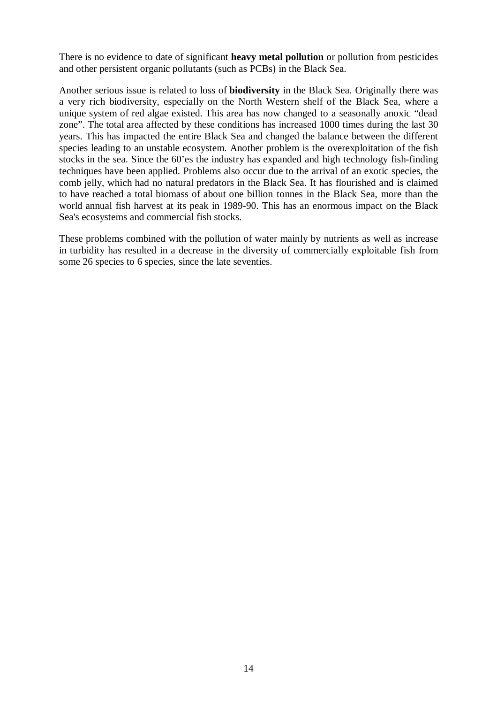There is no evidence to date of significant **heavy metal pollution** or pollution from pesticides and other persistent organic pollutants (such as PCBs) in the Black Sea.

Another serious issue is related to loss of **biodiversity** in the Black Sea. Originally there was a very rich biodiversity, especially on the North Western shelf of the Black Sea, where a unique system of red algae existed. This area has now changed to a seasonally anoxic "dead zone". The total area affected by these conditions has increased 1000 times during the last 30 years. This has impacted the entire Black Sea and changed the balance between the different species leading to an unstable ecosystem. Another problem is the overexploitation of the fish stocks in the sea. Since the 60'es the industry has expanded and high technology fish-finding techniques have been applied. Problems also occur due to the arrival of an exotic species, the comb jelly, which had no natural predators in the Black Sea. It has flourished and is claimed to have reached a total biomass of about one billion tonnes in the Black Sea, more than the world annual fish harvest at its peak in 1989-90. This has an enormous impact on the Black Sea's ecosystems and commercial fish stocks.

These problems combined with the pollution of water mainly by nutrients as well as increase in turbidity has resulted in a decrease in the diversity of commercially exploitable fish from some 26 species to 6 species, since the late seventies.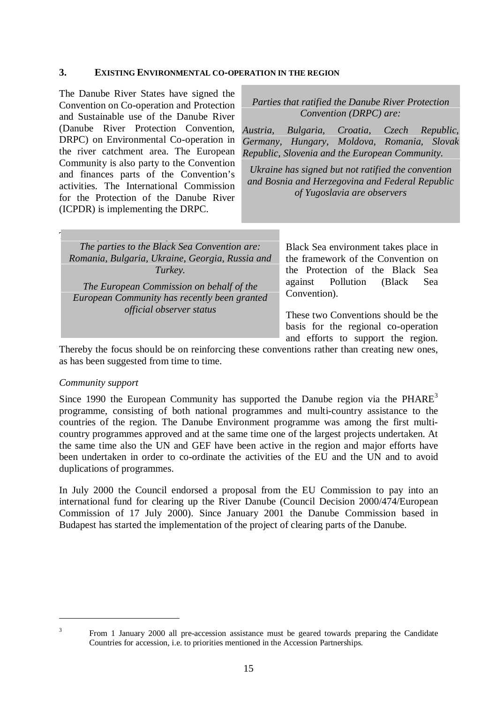#### **3. EXISTING ENVIRONMENTAL CO-OPERATION IN THE REGION**

The Danube River States have signed the Convention on Co-operation and Protection and Sustainable use of the Danube River (Danube River Protection Convention, DRPC) on Environmental Co-operation in the river catchment area. The European Community is also party to the Convention and finances parts of the Convention's activities. The International Commission for the Protection of the Danube River (ICPDR) is implementing the DRPC.

#### *Parties that ratified the Danube River Protection Convention (DRPC) are:*

*Austria, Bulgaria, Croatia, Czech Republic, Germany, Hungary, Moldova, Romania, Slovak Republic, Slovenia and the European Community.*

*Ukraine has signed but not ratified the convention and Bosnia and Herzegovina and Federal Republic of Yugoslavia are observers*

and efforts to support the region.

| The parties to the Black Sea Convention are:<br>Romania, Bulgaria, Ukraine, Georgia, Russia and<br>Turkey.<br>The European Commission on behalf of the | Black Sea environment takes place in<br>the framework of the Convention on<br>the Protection of the Black Sea<br>against Pollution<br>(Black)<br>Sea<br>Convention). |
|--------------------------------------------------------------------------------------------------------------------------------------------------------|----------------------------------------------------------------------------------------------------------------------------------------------------------------------|
| European Community has recently been granted                                                                                                           | These two Conventions should be the                                                                                                                                  |
| <i>official observer status</i>                                                                                                                        | basis for the regional co-operation                                                                                                                                  |

Thereby the focus should be on reinforcing these conventions rather than creating new ones, as has been suggested from time to time.

#### *Community support*

Since 1990 the European Community has supported the Danube region via the  $PHARE<sup>3</sup>$ programme, consisting of both national programmes and multi-country assistance to the countries of the region. The Danube Environment programme was among the first multicountry programmes approved and at the same time one of the largest projects undertaken. At the same time also the UN and GEF have been active in the region and major efforts have been undertaken in order to co-ordinate the activities of the EU and the UN and to avoid duplications of programmes.

In July 2000 the Council endorsed a proposal from the EU Commission to pay into an international fund for clearing up the River Danube (Council Decision 2000/474/European Commission of 17 July 2000). Since January 2001 the Danube Commission based in Budapest has started the implementation of the project of clearing parts of the Danube.

<sup>&</sup>lt;sup>3</sup> From 1 January 2000 all pre-accession assistance must be geared towards preparing the Candidate Countries for accession, i.e. to priorities mentioned in the Accession Partnerships.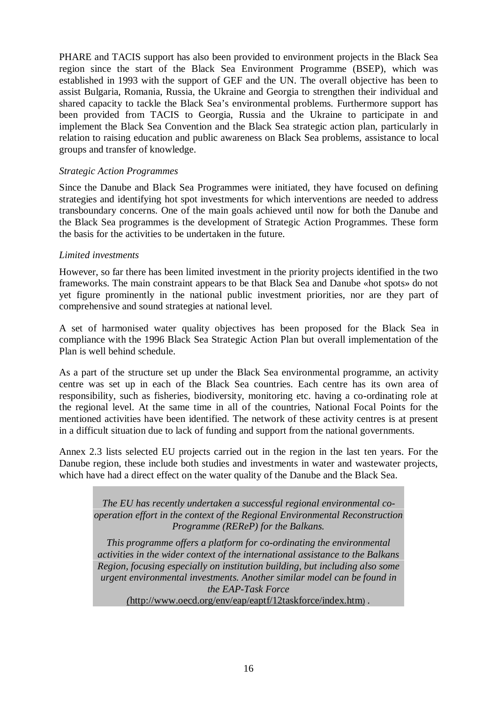PHARE and TACIS support has also been provided to environment projects in the Black Sea region since the start of the Black Sea Environment Programme (BSEP), which was established in 1993 with the support of GEF and the UN. The overall objective has been to assist Bulgaria, Romania, Russia, the Ukraine and Georgia to strengthen their individual and shared capacity to tackle the Black Sea's environmental problems. Furthermore support has been provided from TACIS to Georgia, Russia and the Ukraine to participate in and implement the Black Sea Convention and the Black Sea strategic action plan, particularly in relation to raising education and public awareness on Black Sea problems, assistance to local groups and transfer of knowledge.

#### *Strategic Action Programmes*

Since the Danube and Black Sea Programmes were initiated, they have focused on defining strategies and identifying hot spot investments for which interventions are needed to address transboundary concerns. One of the main goals achieved until now for both the Danube and the Black Sea programmes is the development of Strategic Action Programmes. These form the basis for the activities to be undertaken in the future.

#### *Limited investments*

However, so far there has been limited investment in the priority projects identified in the two frameworks. The main constraint appears to be that Black Sea and Danube «hot spots» do not yet figure prominently in the national public investment priorities, nor are they part of comprehensive and sound strategies at national level.

A set of harmonised water quality objectives has been proposed for the Black Sea in compliance with the 1996 Black Sea Strategic Action Plan but overall implementation of the Plan is well behind schedule.

As a part of the structure set up under the Black Sea environmental programme, an activity centre was set up in each of the Black Sea countries. Each centre has its own area of responsibility, such as fisheries, biodiversity, monitoring etc. having a co-ordinating role at the regional level. At the same time in all of the countries, National Focal Points for the mentioned activities have been identified. The network of these activity centres is at present in a difficult situation due to lack of funding and support from the national governments.

Annex 2.3 lists selected EU projects carried out in the region in the last ten years. For the Danube region, these include both studies and investments in water and wastewater projects, which have had a direct effect on the water quality of the Danube and the Black Sea.

*The EU has recently undertaken a successful regional environmental cooperation effort in the context of the Regional Environmental Reconstruction Programme (REReP) for the Balkans.*

*This programme offers a platform for co-ordinating the environmental activities in the wider context of the international assistance to the Balkans Region, focusing especially on institution building, but including also some urgent environmental investments. Another similar model can be found in the EAP-Task Force (*http://www.oecd.org/env/eap/eaptf/12taskforce/index.htm) *.*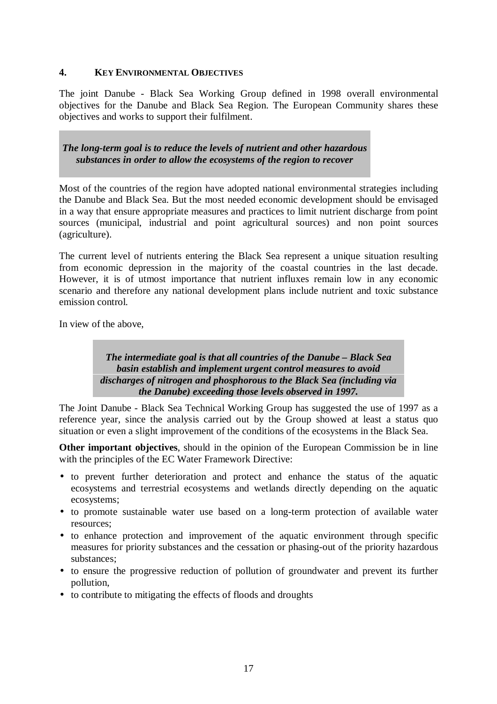### **4. KEY ENVIRONMENTAL OBJECTIVES**

The joint Danube - Black Sea Working Group defined in 1998 overall environmental objectives for the Danube and Black Sea Region. The European Community shares these objectives and works to support their fulfilment.

*The long-term goal is to reduce the levels of nutrient and other hazardous substances in order to allow the ecosystems of the region to recover*

Most of the countries of the region have adopted national environmental strategies including the Danube and Black Sea. But the most needed economic development should be envisaged in a way that ensure appropriate measures and practices to limit nutrient discharge from point sources (municipal, industrial and point agricultural sources) and non point sources (agriculture).

The current level of nutrients entering the Black Sea represent a unique situation resulting from economic depression in the majority of the coastal countries in the last decade. However, it is of utmost importance that nutrient influxes remain low in any economic scenario and therefore any national development plans include nutrient and toxic substance emission control.

In view of the above,

*The intermediate goal is that all countries of the Danube – Black Sea basin establish and implement urgent control measures to avoid discharges of nitrogen and phosphorous to the Black Sea (including via the Danube) exceeding those levels observed in 1997.*

The Joint Danube - Black Sea Technical Working Group has suggested the use of 1997 as a reference year, since the analysis carried out by the Group showed at least a status quo situation or even a slight improvement of the conditions of the ecosystems in the Black Sea.

**Other important objectives**, should in the opinion of the European Commission be in line with the principles of the EC Water Framework Directive:

- to prevent further deterioration and protect and enhance the status of the aquatic ecosystems and terrestrial ecosystems and wetlands directly depending on the aquatic ecosystems;
- to promote sustainable water use based on a long-term protection of available water resources;
- to enhance protection and improvement of the aquatic environment through specific measures for priority substances and the cessation or phasing-out of the priority hazardous substances;
- to ensure the progressive reduction of pollution of groundwater and prevent its further pollution,
- to contribute to mitigating the effects of floods and droughts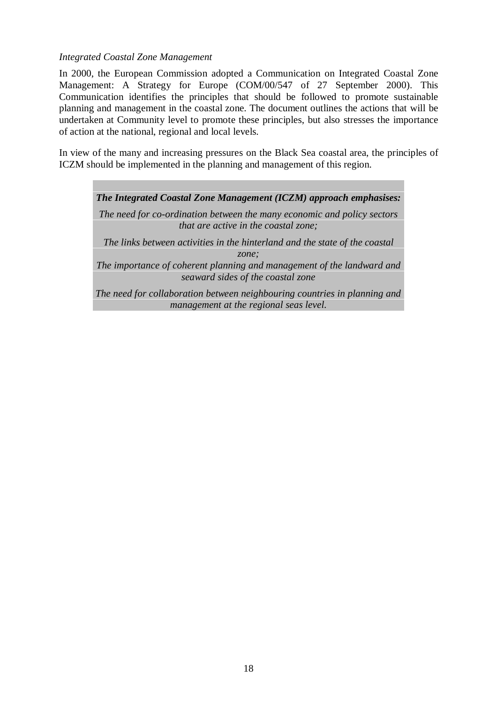### *Integrated Coastal Zone Management*

In 2000, the European Commission adopted a Communication on Integrated Coastal Zone Management: A Strategy for Europe (COM/00/547 of 27 September 2000). This Communication identifies the principles that should be followed to promote sustainable planning and management in the coastal zone. The document outlines the actions that will be undertaken at Community level to promote these principles, but also stresses the importance of action at the national, regional and local levels.

In view of the many and increasing pressures on the Black Sea coastal area, the principles of ICZM should be implemented in the planning and management of this region.

*The Integrated Coastal Zone Management (ICZM) approach emphasises: The need for co-ordination between the many economic and policy sectors that are active in the coastal zone; The links between activities in the hinterland and the state of the coastal zone;*

*The importance of coherent planning and management of the landward and seaward sides of the coastal zone*

*The need for collaboration between neighbouring countries in planning and management at the regional seas level.*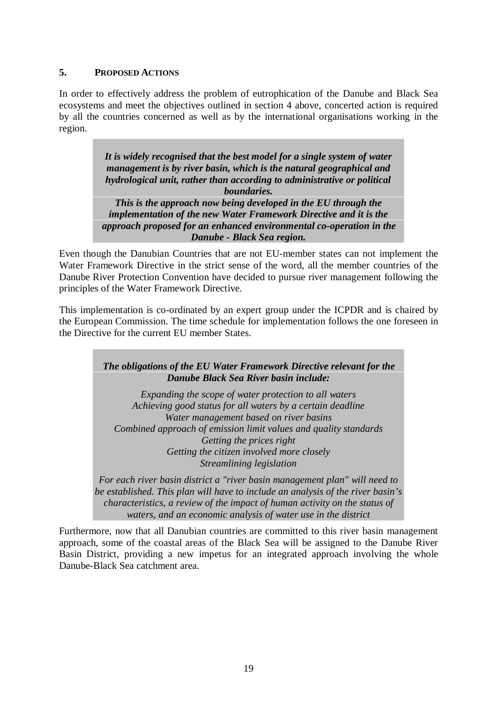### **5. PROPOSED ACTIONS**

In order to effectively address the problem of eutrophication of the Danube and Black Sea ecosystems and meet the objectives outlined in section 4 above, concerted action is required by all the countries concerned as well as by the international organisations working in the region.

> *It is widely recognised that the best model for a single system of water management is by river basin, which is the natural geographical and hydrological unit, rather than according to administrative or political boundaries. This is the approach now being developed in the EU through the implementation of the new Water Framework Directive and it is the approach proposed for an enhanced environmental co-operation in the Danube - Black Sea region.*

Even though the Danubian Countries that are not EU-member states can not implement the Water Framework Directive in the strict sense of the word, all the member countries of the Danube River Protection Convention have decided to pursue river management following the principles of the Water Framework Directive.

This implementation is co-ordinated by an expert group under the ICPDR and is chaired by the European Commission. The time schedule for implementation follows the one foreseen in the Directive for the current EU member States.

### *The obligations of the EU Water Framework Directive relevant for the Danube Black Sea River basin include:*

*Expanding the scope of water protection to all waters Achieving good status for all waters by a certain deadline Water management based on river basins Combined approach of emission limit values and quality standards Getting the prices right Getting the citizen involved more closely Streamlining legislation*

*For each river basin district a "river basin management plan" will need to be established. This plan will have to include an analysis of the river basin's characteristics, a review of the impact of human activity on the status of waters, and an economic analysis of water use in the district*

Furthermore, now that all Danubian countries are committed to this river basin management approach, some of the coastal areas of the Black Sea will be assigned to the Danube River Basin District, providing a new impetus for an integrated approach involving the whole Danube-Black Sea catchment area.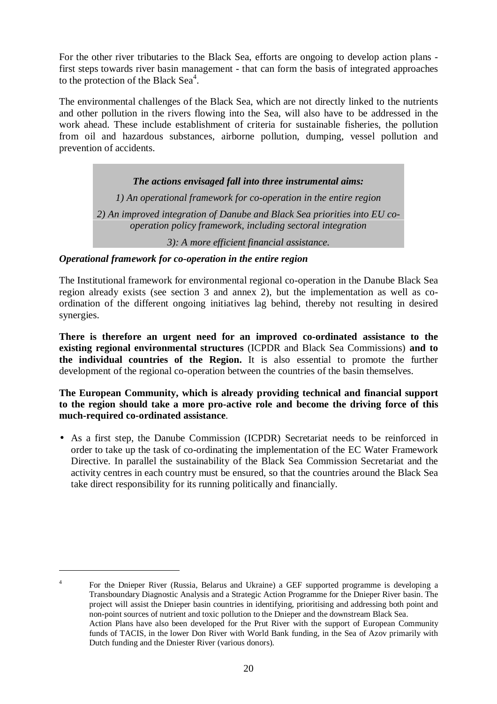For the other river tributaries to the Black Sea, efforts are ongoing to develop action plans first steps towards river basin management - that can form the basis of integrated approaches to the protection of the Black Sea<sup>4</sup>.

The environmental challenges of the Black Sea, which are not directly linked to the nutrients and other pollution in the rivers flowing into the Sea, will also have to be addressed in the work ahead. These include establishment of criteria for sustainable fisheries, the pollution from oil and hazardous substances, airborne pollution, dumping, vessel pollution and prevention of accidents.

### *The actions envisaged fall into three instrumental aims:*

*1) An operational framework for co-operation in the entire region*

*2) An improved integration of Danube and Black Sea priorities into EU cooperation policy framework, including sectoral integration*

*3): A more efficient financial assistance.*

### *Operational framework for co-operation in the entire region*

The Institutional framework for environmental regional co-operation in the Danube Black Sea region already exists (see section 3 and annex 2), but the implementation as well as coordination of the different ongoing initiatives lag behind, thereby not resulting in desired synergies.

**There is therefore an urgent need for an improved co-ordinated assistance to the existing regional environmental structures** (ICPDR and Black Sea Commissions) **and to the individual countries of the Region.** It is also essential to promote the further development of the regional co-operation between the countries of the basin themselves.

#### **The European Community, which is already providing technical and financial support to the region should take a more pro-active role and become the driving force of this much-required co-ordinated assistance**.

• As a first step, the Danube Commission (ICPDR) Secretariat needs to be reinforced in order to take up the task of co-ordinating the implementation of the EC Water Framework Directive. In parallel the sustainability of the Black Sea Commission Secretariat and the activity centres in each country must be ensured, so that the countries around the Black Sea take direct responsibility for its running politically and financially.

<sup>4</sup> For the Dnieper River (Russia, Belarus and Ukraine) a GEF supported programme is developing a Transboundary Diagnostic Analysis and a Strategic Action Programme for the Dnieper River basin. The project will assist the Dnieper basin countries in identifying, prioritising and addressing both point and non-point sources of nutrient and toxic pollution to the Dnieper and the downstream Black Sea. Action Plans have also been developed for the Prut River with the support of European Community funds of TACIS, in the lower Don River with World Bank funding, in the Sea of Azov primarily with Dutch funding and the Dniester River (various donors).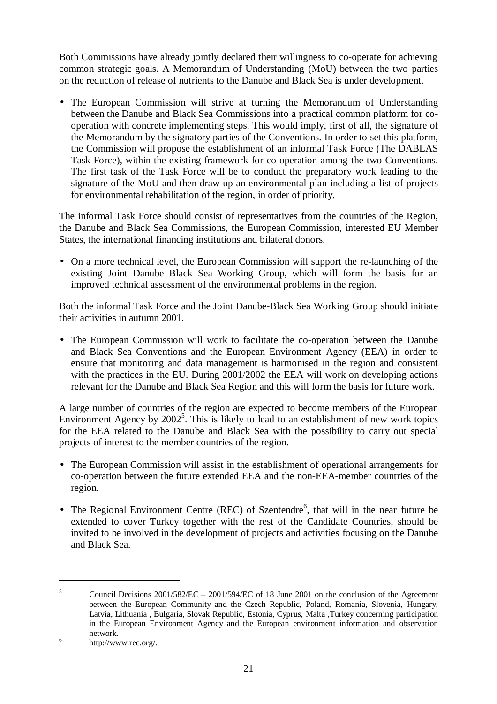Both Commissions have already jointly declared their willingness to co-operate for achieving common strategic goals. A Memorandum of Understanding (MoU) between the two parties on the reduction of release of nutrients to the Danube and Black Sea is under development.

• The European Commission will strive at turning the Memorandum of Understanding between the Danube and Black Sea Commissions into a practical common platform for cooperation with concrete implementing steps. This would imply, first of all, the signature of the Memorandum by the signatory parties of the Conventions. In order to set this platform, the Commission will propose the establishment of an informal Task Force (The DABLAS Task Force), within the existing framework for co-operation among the two Conventions. The first task of the Task Force will be to conduct the preparatory work leading to the signature of the MoU and then draw up an environmental plan including a list of projects for environmental rehabilitation of the region, in order of priority.

The informal Task Force should consist of representatives from the countries of the Region, the Danube and Black Sea Commissions, the European Commission, interested EU Member States, the international financing institutions and bilateral donors.

• On a more technical level, the European Commission will support the re-launching of the existing Joint Danube Black Sea Working Group, which will form the basis for an improved technical assessment of the environmental problems in the region.

Both the informal Task Force and the Joint Danube-Black Sea Working Group should initiate their activities in autumn 2001.

• The European Commission will work to facilitate the co-operation between the Danube and Black Sea Conventions and the European Environment Agency (EEA) in order to ensure that monitoring and data management is harmonised in the region and consistent with the practices in the EU. During 2001/2002 the EEA will work on developing actions relevant for the Danube and Black Sea Region and this will form the basis for future work.

A large number of countries of the region are expected to become members of the European Environment Agency by 2002<sup>5</sup>. This is likely to lead to an establishment of new work topics for the EEA related to the Danube and Black Sea with the possibility to carry out special projects of interest to the member countries of the region.

- The European Commission will assist in the establishment of operational arrangements for co-operation between the future extended EEA and the non-EEA-member countries of the region.
- The Regional Environment Centre (REC) of Szentendre $<sup>6</sup>$ , that will in the near future be</sup> extended to cover Turkey together with the rest of the Candidate Countries, should be invited to be involved in the development of projects and activities focusing on the Danube and Black Sea.

<sup>&</sup>lt;sup>5</sup> Council Decisions  $2001/582/EC - 2001/594/EC$  of 18 June 2001 on the conclusion of the Agreement between the European Community and the Czech Republic, Poland, Romania, Slovenia, Hungary, Latvia, Lithuania , Bulgaria, Slovak Republic, Estonia, Cyprus, Malta ,Turkey concerning participation in the European Environment Agency and the European environment information and observation network.<br><sup>6</sup> http://www.rec.org/.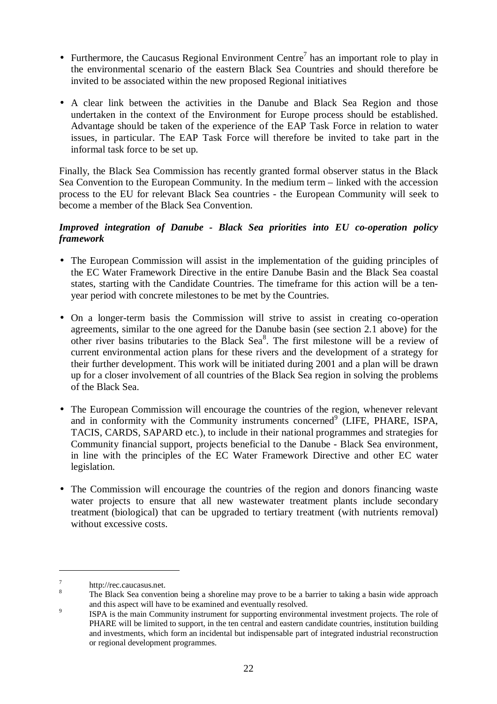- Furthermore, the Caucasus Regional Environment Centre<sup>7</sup> has an important role to play in the environmental scenario of the eastern Black Sea Countries and should therefore be invited to be associated within the new proposed Regional initiatives
- A clear link between the activities in the Danube and Black Sea Region and those undertaken in the context of the Environment for Europe process should be established. Advantage should be taken of the experience of the EAP Task Force in relation to water issues, in particular. The EAP Task Force will therefore be invited to take part in the informal task force to be set up.

Finally, the Black Sea Commission has recently granted formal observer status in the Black Sea Convention to the European Community. In the medium term – linked with the accession process to the EU for relevant Black Sea countries - the European Community will seek to become a member of the Black Sea Convention.

### *Improved integration of Danube - Black Sea priorities into EU co-operation policy framework*

- The European Commission will assist in the implementation of the guiding principles of the EC Water Framework Directive in the entire Danube Basin and the Black Sea coastal states, starting with the Candidate Countries. The timeframe for this action will be a tenyear period with concrete milestones to be met by the Countries.
- On a longer-term basis the Commission will strive to assist in creating co-operation agreements, similar to the one agreed for the Danube basin (see section 2.1 above) for the other river basins tributaries to the Black Sea<sup>8</sup>. The first milestone will be a review of current environmental action plans for these rivers and the development of a strategy for their further development. This work will be initiated during 2001 and a plan will be drawn up for a closer involvement of all countries of the Black Sea region in solving the problems of the Black Sea.
- The European Commission will encourage the countries of the region, whenever relevant and in conformity with the Community instruments concerned $9$  (LIFE, PHARE, ISPA, TACIS, CARDS, SAPARD etc.), to include in their national programmes and strategies for Community financial support, projects beneficial to the Danube - Black Sea environment, in line with the principles of the EC Water Framework Directive and other EC water legislation.
- The Commission will encourage the countries of the region and donors financing waste water projects to ensure that all new wastewater treatment plants include secondary treatment (biological) that can be upgraded to tertiary treatment (with nutrients removal) without excessive costs.

<sup>&</sup>lt;sup>7</sup> http://rec.caucasus.net.<br><sup>8</sup> The Black Sea convention being a shoreline may prove to be a barrier to taking a basin wide approach

and this aspect will have to be examined and eventually resolved.<br><sup>9</sup> ISPA is the main Community instrument for supporting environmental investment projects. The role of PHARE will be limited to support, in the ten central and eastern candidate countries, institution building and investments, which form an incidental but indispensable part of integrated industrial reconstruction or regional development programmes.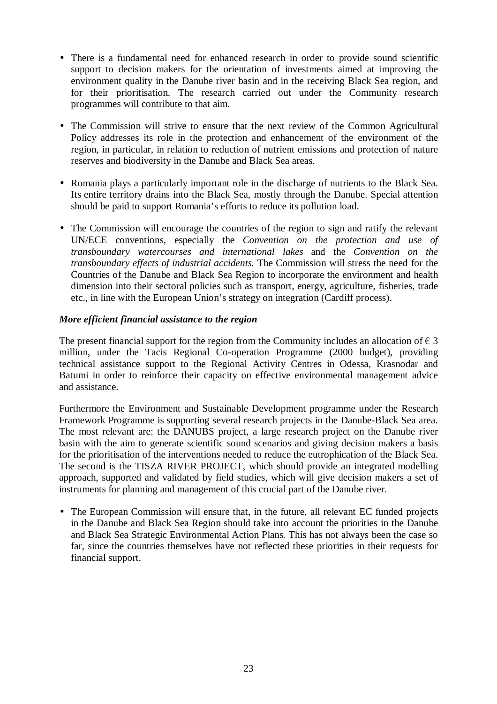- There is a fundamental need for enhanced research in order to provide sound scientific support to decision makers for the orientation of investments aimed at improving the environment quality in the Danube river basin and in the receiving Black Sea region, and for their prioritisation. The research carried out under the Community research programmes will contribute to that aim.
- The Commission will strive to ensure that the next review of the Common Agricultural Policy addresses its role in the protection and enhancement of the environment of the region, in particular, in relation to reduction of nutrient emissions and protection of nature reserves and biodiversity in the Danube and Black Sea areas.
- Romania plays a particularly important role in the discharge of nutrients to the Black Sea. Its entire territory drains into the Black Sea, mostly through the Danube. Special attention should be paid to support Romania's efforts to reduce its pollution load.
- The Commission will encourage the countries of the region to sign and ratify the relevant UN/ECE conventions, especially the *Convention on the protection and use of transboundary watercourses and international lakes* and the *Convention on the transboundary effects of industrial accidents.* The Commission will stress the need for the Countries of the Danube and Black Sea Region to incorporate the environment and health dimension into their sectoral policies such as transport, energy, agriculture, fisheries, trade etc., in line with the European Union's strategy on integration (Cardiff process).

### *More efficient financial assistance to the region*

The present financial support for the region from the Community includes an allocation of  $\epsilon$  3 million, under the Tacis Regional Co-operation Programme (2000 budget), providing technical assistance support to the Regional Activity Centres in Odessa, Krasnodar and Batumi in order to reinforce their capacity on effective environmental management advice and assistance.

Furthermore the Environment and Sustainable Development programme under the Research Framework Programme is supporting several research projects in the Danube-Black Sea area. The most relevant are: the DANUBS project, a large research project on the Danube river basin with the aim to generate scientific sound scenarios and giving decision makers a basis for the prioritisation of the interventions needed to reduce the eutrophication of the Black Sea. The second is the TISZA RIVER PROJECT, which should provide an integrated modelling approach, supported and validated by field studies, which will give decision makers a set of instruments for planning and management of this crucial part of the Danube river.

• The European Commission will ensure that, in the future, all relevant EC funded projects in the Danube and Black Sea Region should take into account the priorities in the Danube and Black Sea Strategic Environmental Action Plans. This has not always been the case so far, since the countries themselves have not reflected these priorities in their requests for financial support.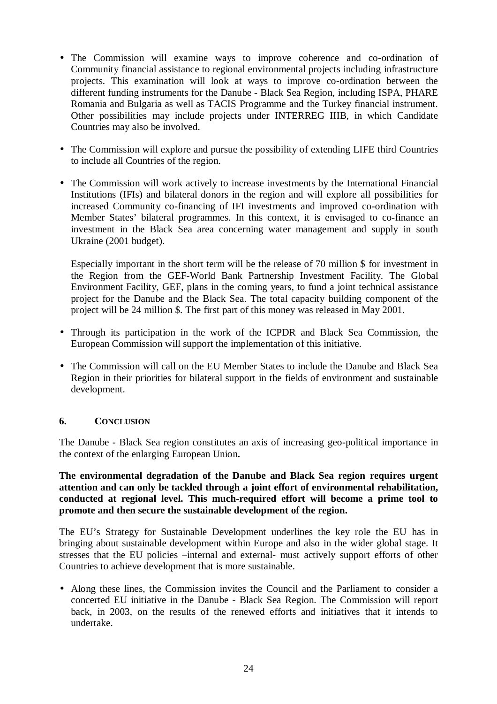- The Commission will examine ways to improve coherence and co-ordination of Community financial assistance to regional environmental projects including infrastructure projects. This examination will look at ways to improve co-ordination between the different funding instruments for the Danube - Black Sea Region, including ISPA, PHARE Romania and Bulgaria as well as TACIS Programme and the Turkey financial instrument. Other possibilities may include projects under INTERREG IIIB, in which Candidate Countries may also be involved.
- The Commission will explore and pursue the possibility of extending LIFE third Countries to include all Countries of the region.
- The Commission will work actively to increase investments by the International Financial Institutions (IFIs) and bilateral donors in the region and will explore all possibilities for increased Community co-financing of IFI investments and improved co-ordination with Member States' bilateral programmes. In this context, it is envisaged to co-finance an investment in the Black Sea area concerning water management and supply in south Ukraine (2001 budget).

Especially important in the short term will be the release of 70 million \$ for investment in the Region from the GEF-World Bank Partnership Investment Facility. The Global Environment Facility, GEF, plans in the coming years, to fund a joint technical assistance project for the Danube and the Black Sea. The total capacity building component of the project will be 24 million \$. The first part of this money was released in May 2001.

- Through its participation in the work of the ICPDR and Black Sea Commission, the European Commission will support the implementation of this initiative.
- The Commission will call on the EU Member States to include the Danube and Black Sea Region in their priorities for bilateral support in the fields of environment and sustainable development.

### **6. CONCLUSION**

The Danube - Black Sea region constitutes an axis of increasing geo-political importance in the context of the enlarging European Union**.**

### **The environmental degradation of the Danube and Black Sea region requires urgent attention and can only be tackled through a joint effort of environmental rehabilitation, conducted at regional level. This much-required effort will become a prime tool to promote and then secure the sustainable development of the region.**

The EU's Strategy for Sustainable Development underlines the key role the EU has in bringing about sustainable development within Europe and also in the wider global stage. It stresses that the EU policies –internal and external- must actively support efforts of other Countries to achieve development that is more sustainable.

• Along these lines, the Commission invites the Council and the Parliament to consider a concerted EU initiative in the Danube - Black Sea Region. The Commission will report back, in 2003, on the results of the renewed efforts and initiatives that it intends to undertake.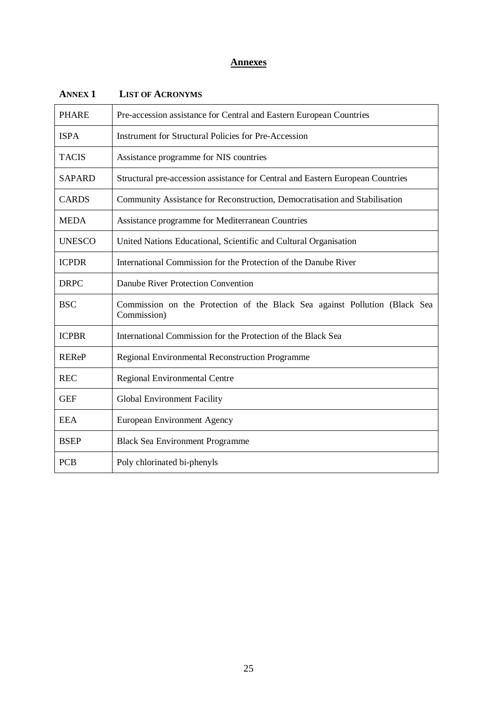## **Annexes**

| <b>PHARE</b>  | Pre-accession assistance for Central and Eastern European Countries                       |  |  |
|---------------|-------------------------------------------------------------------------------------------|--|--|
| <b>ISPA</b>   | <b>Instrument for Structural Policies for Pre-Accession</b>                               |  |  |
| <b>TACIS</b>  | Assistance programme for NIS countries                                                    |  |  |
| <b>SAPARD</b> | Structural pre-accession assistance for Central and Eastern European Countries            |  |  |
| <b>CARDS</b>  | Community Assistance for Reconstruction, Democratisation and Stabilisation                |  |  |
| <b>MEDA</b>   | Assistance programme for Mediterranean Countries                                          |  |  |
| <b>UNESCO</b> | United Nations Educational, Scientific and Cultural Organisation                          |  |  |
| <b>ICPDR</b>  | International Commission for the Protection of the Danube River                           |  |  |
| <b>DRPC</b>   | Danube River Protection Convention                                                        |  |  |
| <b>BSC</b>    | Commission on the Protection of the Black Sea against Pollution (Black Sea<br>Commission) |  |  |
| <b>ICPBR</b>  | International Commission for the Protection of the Black Sea                              |  |  |
| <b>REReP</b>  | <b>Regional Environmental Reconstruction Programme</b>                                    |  |  |
| <b>REC</b>    | Regional Environmental Centre                                                             |  |  |
| <b>GEF</b>    | Global Environment Facility                                                               |  |  |
| <b>EEA</b>    | <b>European Environment Agency</b>                                                        |  |  |
| <b>BSEP</b>   | <b>Black Sea Environment Programme</b>                                                    |  |  |
| <b>PCB</b>    | Poly chlorinated bi-phenyls                                                               |  |  |

### **ANNEX 1 LIST OF ACRONYMS**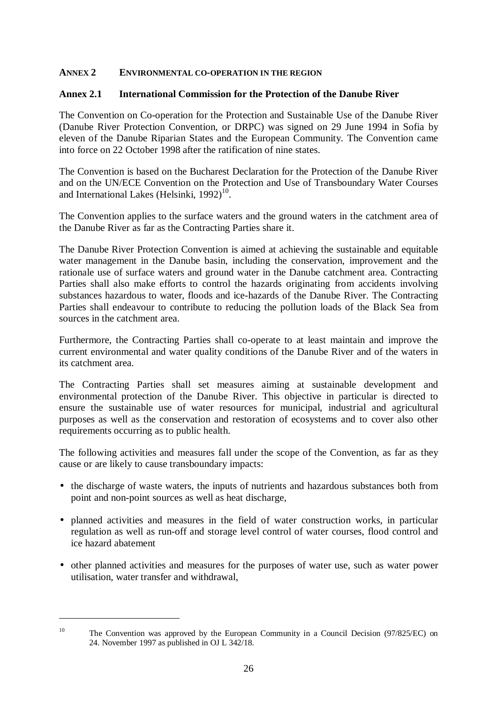### **ANNEX 2 ENVIRONMENTAL CO-OPERATION IN THE REGION**

### **Annex 2.1 International Commission for the Protection of the Danube River**

The Convention on Co-operation for the Protection and Sustainable Use of the Danube River (Danube River Protection Convention, or DRPC) was signed on 29 June 1994 in Sofia by eleven of the Danube Riparian States and the European Community. The Convention came into force on 22 October 1998 after the ratification of nine states.

The Convention is based on the Bucharest Declaration for the Protection of the Danube River and on the UN/ECE Convention on the Protection and Use of Transboundary Water Courses and International Lakes (Helsinki,  $1992$ )<sup>10</sup>.

The Convention applies to the surface waters and the ground waters in the catchment area of the Danube River as far as the Contracting Parties share it.

The Danube River Protection Convention is aimed at achieving the sustainable and equitable water management in the Danube basin, including the conservation, improvement and the rationale use of surface waters and ground water in the Danube catchment area. Contracting Parties shall also make efforts to control the hazards originating from accidents involving substances hazardous to water, floods and ice-hazards of the Danube River. The Contracting Parties shall endeavour to contribute to reducing the pollution loads of the Black Sea from sources in the catchment area.

Furthermore, the Contracting Parties shall co-operate to at least maintain and improve the current environmental and water quality conditions of the Danube River and of the waters in its catchment area.

The Contracting Parties shall set measures aiming at sustainable development and environmental protection of the Danube River. This objective in particular is directed to ensure the sustainable use of water resources for municipal, industrial and agricultural purposes as well as the conservation and restoration of ecosystems and to cover also other requirements occurring as to public health.

The following activities and measures fall under the scope of the Convention, as far as they cause or are likely to cause transboundary impacts:

- the discharge of waste waters, the inputs of nutrients and hazardous substances both from point and non-point sources as well as heat discharge,
- planned activities and measures in the field of water construction works, in particular regulation as well as run-off and storage level control of water courses, flood control and ice hazard abatement
- other planned activities and measures for the purposes of water use, such as water power utilisation, water transfer and withdrawal,

<sup>&</sup>lt;sup>10</sup> The Convention was approved by the European Community in a Council Decision (97/825/EC) on 24. November 1997 as published in OJ L 342/18.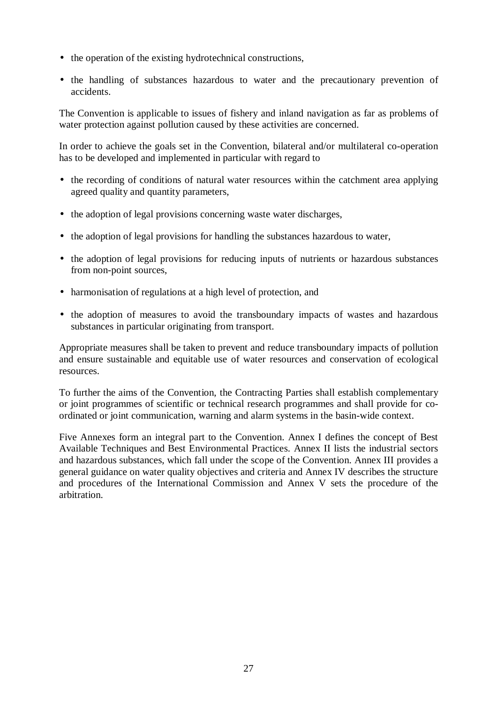- the operation of the existing hydrotechnical constructions,
- the handling of substances hazardous to water and the precautionary prevention of accidents.

The Convention is applicable to issues of fishery and inland navigation as far as problems of water protection against pollution caused by these activities are concerned.

In order to achieve the goals set in the Convention, bilateral and/or multilateral co-operation has to be developed and implemented in particular with regard to

- the recording of conditions of natural water resources within the catchment area applying agreed quality and quantity parameters,
- the adoption of legal provisions concerning waste water discharges,
- the adoption of legal provisions for handling the substances hazardous to water,
- the adoption of legal provisions for reducing inputs of nutrients or hazardous substances from non-point sources,
- harmonisation of regulations at a high level of protection, and
- the adoption of measures to avoid the transboundary impacts of wastes and hazardous substances in particular originating from transport.

Appropriate measures shall be taken to prevent and reduce transboundary impacts of pollution and ensure sustainable and equitable use of water resources and conservation of ecological resources.

To further the aims of the Convention, the Contracting Parties shall establish complementary or joint programmes of scientific or technical research programmes and shall provide for coordinated or joint communication, warning and alarm systems in the basin-wide context.

Five Annexes form an integral part to the Convention. Annex I defines the concept of Best Available Techniques and Best Environmental Practices. Annex II lists the industrial sectors and hazardous substances, which fall under the scope of the Convention. Annex III provides a general guidance on water quality objectives and criteria and Annex IV describes the structure and procedures of the International Commission and Annex V sets the procedure of the arbitration.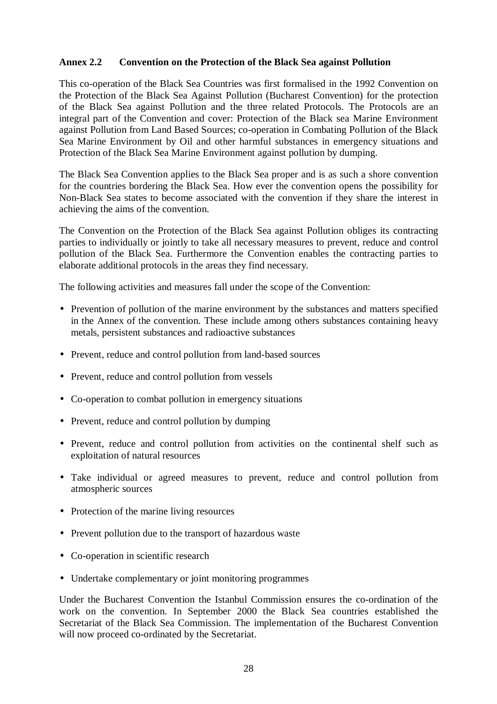### **Annex 2.2 Convention on the Protection of the Black Sea against Pollution**

This co-operation of the Black Sea Countries was first formalised in the 1992 Convention on the Protection of the Black Sea Against Pollution (Bucharest Convention) for the protection of the Black Sea against Pollution and the three related Protocols. The Protocols are an integral part of the Convention and cover: Protection of the Black sea Marine Environment against Pollution from Land Based Sources; co-operation in Combating Pollution of the Black Sea Marine Environment by Oil and other harmful substances in emergency situations and Protection of the Black Sea Marine Environment against pollution by dumping.

The Black Sea Convention applies to the Black Sea proper and is as such a shore convention for the countries bordering the Black Sea. How ever the convention opens the possibility for Non-Black Sea states to become associated with the convention if they share the interest in achieving the aims of the convention.

The Convention on the Protection of the Black Sea against Pollution obliges its contracting parties to individually or jointly to take all necessary measures to prevent, reduce and control pollution of the Black Sea. Furthermore the Convention enables the contracting parties to elaborate additional protocols in the areas they find necessary.

The following activities and measures fall under the scope of the Convention:

- Prevention of pollution of the marine environment by the substances and matters specified in the Annex of the convention. These include among others substances containing heavy metals, persistent substances and radioactive substances
- Prevent, reduce and control pollution from land-based sources
- Prevent, reduce and control pollution from vessels
- Co-operation to combat pollution in emergency situations
- Prevent, reduce and control pollution by dumping
- Prevent, reduce and control pollution from activities on the continental shelf such as exploitation of natural resources
- Take individual or agreed measures to prevent, reduce and control pollution from atmospheric sources
- Protection of the marine living resources
- Prevent pollution due to the transport of hazardous waste
- Co-operation in scientific research
- Undertake complementary or joint monitoring programmes

Under the Bucharest Convention the Istanbul Commission ensures the co-ordination of the work on the convention. In September 2000 the Black Sea countries established the Secretariat of the Black Sea Commission. The implementation of the Bucharest Convention will now proceed co-ordinated by the Secretariat.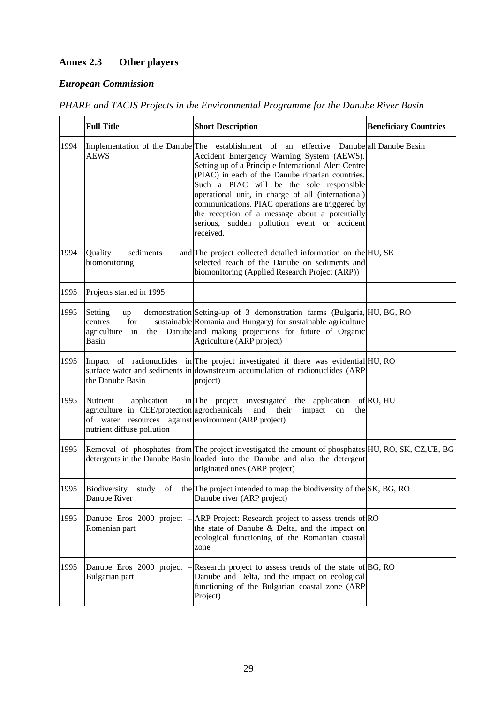# **Annex 2.3 Other players**

## *European Commission*

*PHARE and TACIS Projects in the Environmental Programme for the Danube River Basin*

|      | <b>Full Title</b>                                                                                                                                            | <b>Short Description</b>                                                                                                                                                                                                                                                                                                                                                                                                                                                                                            | <b>Beneficiary Countries</b> |
|------|--------------------------------------------------------------------------------------------------------------------------------------------------------------|---------------------------------------------------------------------------------------------------------------------------------------------------------------------------------------------------------------------------------------------------------------------------------------------------------------------------------------------------------------------------------------------------------------------------------------------------------------------------------------------------------------------|------------------------------|
| 1994 | <b>AEWS</b>                                                                                                                                                  | Implementation of the Danube The establishment of an effective Danube all Danube Basin<br>Accident Emergency Warning System (AEWS).<br>Setting up of a Principle International Alert Centre<br>(PIAC) in each of the Danube riparian countries.<br>Such a PIAC will be the sole responsible<br>operational unit, in charge of all (international)<br>communications. PIAC operations are triggered by<br>the reception of a message about a potentially<br>serious, sudden pollution event or accident<br>received. |                              |
| 1994 | Quality<br>sediments<br>biomonitoring                                                                                                                        | and The project collected detailed information on the HU, SK<br>selected reach of the Danube on sediments and<br>biomonitoring (Applied Research Project (ARP))                                                                                                                                                                                                                                                                                                                                                     |                              |
| 1995 | Projects started in 1995                                                                                                                                     |                                                                                                                                                                                                                                                                                                                                                                                                                                                                                                                     |                              |
| 1995 | Setting<br>up<br>for<br>centres<br>agriculture<br>in<br>Basin                                                                                                | demonstration Setting-up of 3 demonstration farms (Bulgaria, HU, BG, RO<br>sustainable Romania and Hungary) for sustainable agriculture<br>the Danube and making projections for future of Organic<br>Agriculture (ARP project)                                                                                                                                                                                                                                                                                     |                              |
| 1995 | the Danube Basin                                                                                                                                             | Impact of radionuclides in The project investigated if there was evidential HU, RO<br>surface water and sediments in downstream accumulation of radionuclides (ARP<br>project)                                                                                                                                                                                                                                                                                                                                      |                              |
| 1995 | Nutrient<br>application<br>agriculture in CEE/protection agrochemicals<br>of water resources against environment (ARP project)<br>nutrient diffuse pollution | in The project investigated the application of RO, HU<br>and their<br>impact<br>on<br>the                                                                                                                                                                                                                                                                                                                                                                                                                           |                              |
| 1995 |                                                                                                                                                              | Removal of phosphates from The project investigated the amount of phosphates HU, RO, SK, CZ, UE, BG<br>detergents in the Danube Basin loaded into the Danube and also the detergent<br>originated ones (ARP project)                                                                                                                                                                                                                                                                                                |                              |
| 1995 | Biodiversity<br>Danube River                                                                                                                                 | study of the The project intended to map the biodiversity of the SK, BG, RO<br>Danube river (ARP project)                                                                                                                                                                                                                                                                                                                                                                                                           |                              |
| 1995 | Danube Eros 2000 project –<br>Romanian part                                                                                                                  | ARP Project: Research project to assess trends of RO<br>the state of Danube & Delta, and the impact on<br>ecological functioning of the Romanian coastal<br>zone                                                                                                                                                                                                                                                                                                                                                    |                              |
| 1995 | Danube Eros 2000 project –<br>Bulgarian part                                                                                                                 | Research project to assess trends of the state of BG, RO<br>Danube and Delta, and the impact on ecological<br>functioning of the Bulgarian coastal zone (ARP<br>Project)                                                                                                                                                                                                                                                                                                                                            |                              |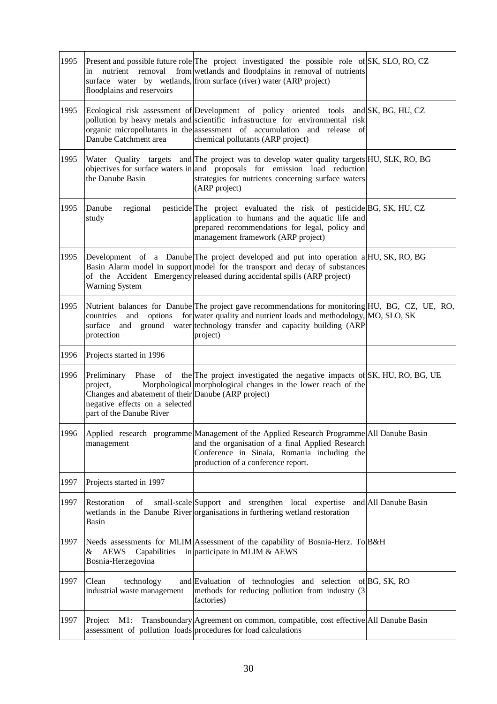| 1995 | nutrient removal<br>in<br>floodplains and reservoirs                                                                          | Present and possible future role The project investigated the possible role of SK, SLO, RO, CZ<br>from wetlands and floodplains in removal of nutrients<br>surface water by wetlands, from surface (river) water (ARP project)                                                           |  |
|------|-------------------------------------------------------------------------------------------------------------------------------|------------------------------------------------------------------------------------------------------------------------------------------------------------------------------------------------------------------------------------------------------------------------------------------|--|
| 1995 | Danube Catchment area                                                                                                         | Ecological risk assessment of Development of policy oriented tools and SK, BG, HU, CZ<br>pollution by heavy metals and scientific infrastructure for environmental risk<br>organic micropollutants in the assessment of accumulation and release of<br>chemical pollutants (ARP project) |  |
| 1995 | the Danube Basin                                                                                                              | Water Quality targets and The project was to develop water quality targets HU, SLK, RO, BG<br>objectives for surface waters in and proposals for emission load reduction<br>strategies for nutrients concerning surface waters<br>(ARP project)                                          |  |
| 1995 | Danube<br>regional<br>study                                                                                                   | pesticide The project evaluated the risk of pesticide BG, SK, HU, CZ<br>application to humans and the aquatic life and<br>prepared recommendations for legal, policy and<br>management framework (ARP project)                                                                           |  |
| 1995 | <b>Warning System</b>                                                                                                         | Development of a Danube The project developed and put into operation a HU, SK, RO, BG<br>Basin Alarm model in support model for the transport and decay of substances<br>of the Accident Emergency released during accidental spills (ARP project)                                       |  |
| 1995 | and<br>countries<br>protection                                                                                                | Nutrient balances for Danube The project gave recommendations for monitoring HU, BG, CZ, UE, RO,<br>options for water quality and nutrient loads and methodology, MO, SLO, SK<br>surface and ground water technology transfer and capacity building (ARP<br>project)                     |  |
| 1996 | Projects started in 1996                                                                                                      |                                                                                                                                                                                                                                                                                          |  |
| 1996 | project,<br>Changes and abatement of their Danube (ARP project)<br>negative effects on a selected<br>part of the Danube River | Preliminary Phase of the The project investigated the negative impacts of SK, HU, RO, BG, UE<br>Morphological morphological changes in the lower reach of the                                                                                                                            |  |
| 1996 | management                                                                                                                    | Applied research programme Management of the Applied Research Programme All Danube Basin<br>and the organisation of a final Applied Research<br>Conference in Sinaia, Romania including the<br>production of a conference report.                                                        |  |
| 1997 | Projects started in 1997                                                                                                      |                                                                                                                                                                                                                                                                                          |  |
| 1997 | Restoration<br>of<br>Basin                                                                                                    | small-scale Support and strengthen local expertise and All Danube Basin<br>wetlands in the Danube River organisations in furthering wetland restoration                                                                                                                                  |  |
| 1997 | &<br>AEWS<br>Capabilities<br>Bosnia-Herzegovina                                                                               | Needs assessments for MLIM Assessment of the capability of Bosnia-Herz. To B&H<br>in participate in MLIM $&$ AEWS                                                                                                                                                                        |  |
| 1997 | Clean<br>technology<br>industrial waste management                                                                            | and Evaluation of technologies and selection of BG, SK, RO<br>methods for reducing pollution from industry (3<br>factories)                                                                                                                                                              |  |
| 1997 | Project M1:                                                                                                                   | Transboundary Agreement on common, compatible, cost effective All Danube Basin<br>assessment of pollution loads procedures for load calculations                                                                                                                                         |  |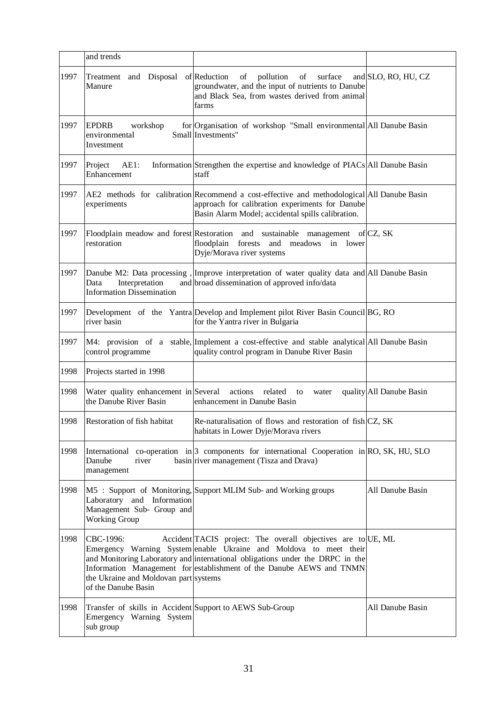|      | and trends                                                                                        |                                                                                                                                                                                                                                                                                            |                          |
|------|---------------------------------------------------------------------------------------------------|--------------------------------------------------------------------------------------------------------------------------------------------------------------------------------------------------------------------------------------------------------------------------------------------|--------------------------|
| 1997 | Treatment and Disposal<br>Manure                                                                  | of Reduction<br>of pollution of surface<br>groundwater, and the input of nutrients to Danube<br>and Black Sea, from wastes derived from animal<br>farms                                                                                                                                    | and SLO, RO, HU, CZ      |
| 1997 | <b>EPDRB</b><br>workshop<br>environmental<br>Investment                                           | for Organisation of workshop "Small environmental All Danube Basin<br>Small Investments"                                                                                                                                                                                                   |                          |
| 1997 | Project<br>$AE1$ :<br>Enhancement                                                                 | Information Strengthen the expertise and knowledge of PIACs All Danube Basin<br>staff                                                                                                                                                                                                      |                          |
| 1997 | experiments                                                                                       | AE2 methods for calibration Recommend a cost-effective and methodological All Danube Basin<br>approach for calibration experiments for Danube<br>Basin Alarm Model; accidental spills calibration.                                                                                         |                          |
| 1997 | restoration                                                                                       | Floodplain meadow and forest Restoration and sustainable management of CZ, SK<br>floodplain forests and meadows in lower<br>Dyje/Morava river systems                                                                                                                                      |                          |
| 1997 | Data<br>Interpretation<br><b>Information Dissemination</b>                                        | Danube M2: Data processing, Improve interpretation of water quality data and All Danube Basin<br>and broad dissemination of approved info/data                                                                                                                                             |                          |
| 1997 | river basin                                                                                       | Development of the Yantra Develop and Implement pilot River Basin Council BG, RO<br>for the Yantra river in Bulgaria                                                                                                                                                                       |                          |
| 1997 | control programme                                                                                 | M4: provision of a stable, Implement a cost-effective and stable analytical All Danube Basin<br>quality control program in Danube River Basin                                                                                                                                              |                          |
| 1998 | Projects started in 1998                                                                          |                                                                                                                                                                                                                                                                                            |                          |
| 1998 | Water quality enhancement in Several actions related<br>the Danube River Basin                    | to<br>water<br>enhancement in Danube Basin                                                                                                                                                                                                                                                 | quality All Danube Basin |
| 1998 | Restoration of fish habitat                                                                       | Re-naturalisation of flows and restoration of fish CZ, SK<br>habitats in Lower Dyje/Morava rivers                                                                                                                                                                                          |                          |
| 1998 | Danube<br>river<br>management                                                                     | International co-operation in 3 components for international Cooperation in RO, SK, HU, SLO<br>basin river management (Tisza and Drava)                                                                                                                                                    |                          |
| 1998 | Laboratory and Information<br>Management Sub- Group and<br><b>Working Group</b>                   | M5 : Support of Monitoring, Support MLIM Sub- and Working groups                                                                                                                                                                                                                           | All Danube Basin         |
| 1998 | CBC-1996:<br>the Ukraine and Moldovan part systems<br>of the Danube Basin                         | Accident TACIS project: The overall objectives are to UE, ML<br>Emergency Warning System enable Ukraine and Moldova to meet their<br>and Monitoring Laboratory and international obligations under the DRPC in the<br>Information Management for establishment of the Danube AEWS and TNMN |                          |
| 1998 | Transfer of skills in Accident Support to AEWS Sub-Group<br>Emergency Warning System<br>sub group |                                                                                                                                                                                                                                                                                            | All Danube Basin         |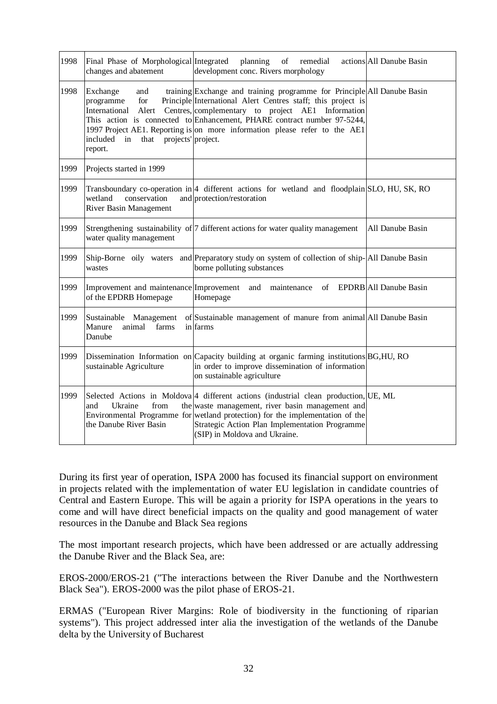| 1998 | Final Phase of Morphological Integrated<br>changes and abatement                                                | planning<br>of remedial<br>development conc. Rivers morphology                                                                                                                                                                                                                                                                                        | actions All Danube Basin |
|------|-----------------------------------------------------------------------------------------------------------------|-------------------------------------------------------------------------------------------------------------------------------------------------------------------------------------------------------------------------------------------------------------------------------------------------------------------------------------------------------|--------------------------|
| 1998 | Exchange<br>and<br>programme<br>for<br>International<br>Alert<br>included in that projects' project.<br>report. | training Exchange and training programme for Principle All Danube Basin<br>Principle International Alert Centres staff; this project is<br>Centres, complementary to project AE1 Information<br>This action is connected to Enhancement, PHARE contract number 97-5244,<br>1997 Project AE1. Reporting is on more information please refer to the AE1 |                          |
| 1999 | Projects started in 1999                                                                                        |                                                                                                                                                                                                                                                                                                                                                       |                          |
| 1999 | conservation<br>wetland<br>River Basin Management                                                               | Transboundary co-operation in 4 different actions for wetland and floodplain SLO, HU, SK, RO<br>and protection/restoration                                                                                                                                                                                                                            |                          |
| 1999 | water quality management                                                                                        | Strengthening sustainability of 7 different actions for water quality management                                                                                                                                                                                                                                                                      | All Danube Basin         |
| 1999 | wastes                                                                                                          | Ship-Borne oily waters and Preparatory study on system of collection of ship-All Danube Basin<br>borne polluting substances                                                                                                                                                                                                                           |                          |
| 1999 | Improvement and maintenance Improvement<br>of the EPDRB Homepage                                                | maintenance of EPDRB All Danube Basin<br>and<br>Homepage                                                                                                                                                                                                                                                                                              |                          |
| 1999 | Sustainable Management<br>Manure<br>animal<br>farms<br>Danube                                                   | of Sustainable management of manure from animal All Danube Basin<br>in farms                                                                                                                                                                                                                                                                          |                          |
| 1999 | sustainable Agriculture                                                                                         | Dissemination Information on Capacity building at organic farming institutions BG, HU, RO<br>in order to improve dissemination of information<br>on sustainable agriculture                                                                                                                                                                           |                          |
| 1999 | Ukraine<br>from<br>and<br>the Danube River Basin                                                                | Selected Actions in Moldova 4 different actions (industrial clean production, UE, ML<br>the waste management, river basin management and<br>Environmental Programme for wetland protection) for the implementation of the<br>Strategic Action Plan Implementation Programme<br>(SIP) in Moldova and Ukraine.                                          |                          |

During its first year of operation, ISPA 2000 has focused its financial support on environment in projects related with the implementation of water EU legislation in candidate countries of Central and Eastern Europe. This will be again a priority for ISPA operations in the years to come and will have direct beneficial impacts on the quality and good management of water resources in the Danube and Black Sea regions

The most important research projects, which have been addressed or are actually addressing the Danube River and the Black Sea, are:

EROS-2000/EROS-21 ("The interactions between the River Danube and the Northwestern Black Sea"). EROS-2000 was the pilot phase of EROS-21.

ERMAS ("European River Margins: Role of biodiversity in the functioning of riparian systems"). This project addressed inter alia the investigation of the wetlands of the Danube delta by the University of Bucharest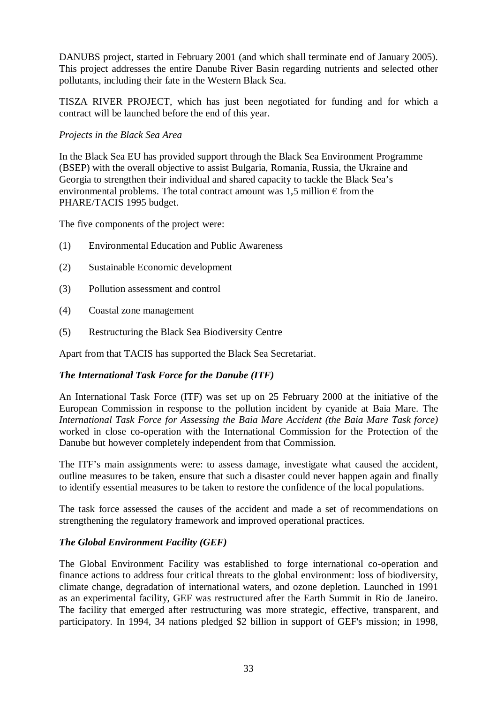DANUBS project, started in February 2001 (and which shall terminate end of January 2005). This project addresses the entire Danube River Basin regarding nutrients and selected other pollutants, including their fate in the Western Black Sea.

TISZA RIVER PROJECT, which has just been negotiated for funding and for which a contract will be launched before the end of this year.

### *Projects in the Black Sea Area*

In the Black Sea EU has provided support through the Black Sea Environment Programme (BSEP) with the overall objective to assist Bulgaria, Romania, Russia, the Ukraine and Georgia to strengthen their individual and shared capacity to tackle the Black Sea's environmental problems. The total contract amount was 1,5 million  $\epsilon$  from the PHARE/TACIS 1995 budget.

The five components of the project were:

- (1) Environmental Education and Public Awareness
- (2) Sustainable Economic development
- (3) Pollution assessment and control
- (4) Coastal zone management
- (5) Restructuring the Black Sea Biodiversity Centre

Apart from that TACIS has supported the Black Sea Secretariat.

### *The International Task Force for the Danube (ITF)*

An International Task Force (ITF) was set up on 25 February 2000 at the initiative of the European Commission in response to the pollution incident by cyanide at Baia Mare. The *International Task Force for Assessing the Baia Mare Accident (the Baia Mare Task force)* worked in close co-operation with the International Commission for the Protection of the Danube but however completely independent from that Commission.

The ITF's main assignments were: to assess damage, investigate what caused the accident, outline measures to be taken, ensure that such a disaster could never happen again and finally to identify essential measures to be taken to restore the confidence of the local populations.

The task force assessed the causes of the accident and made a set of recommendations on strengthening the regulatory framework and improved operational practices.

### *The Global Environment Facility (GEF)*

The Global Environment Facility was established to forge international co-operation and finance actions to address four critical threats to the global environment: loss of biodiversity, climate change, degradation of international waters, and ozone depletion. Launched in 1991 as an experimental facility, GEF was restructured after the Earth Summit in Rio de Janeiro. The facility that emerged after restructuring was more strategic, effective, transparent, and participatory. In 1994, 34 nations pledged \$2 billion in support of GEF's mission; in 1998,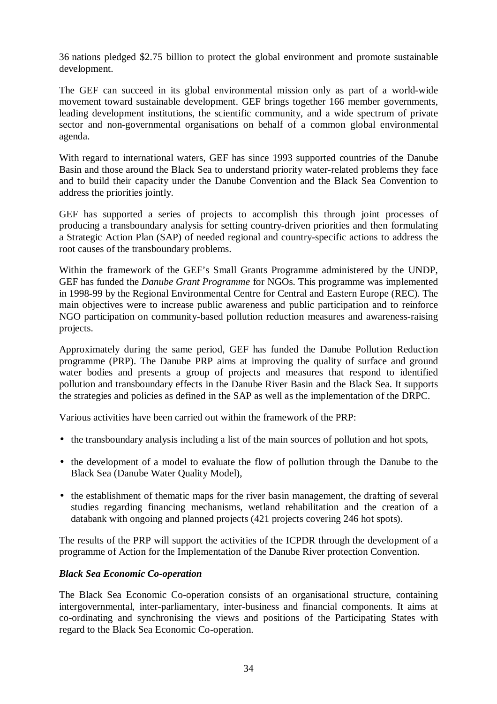36 nations pledged \$2.75 billion to protect the global environment and promote sustainable development.

The GEF can succeed in its global environmental mission only as part of a world-wide movement toward sustainable development. GEF brings together 166 member governments, leading development institutions, the scientific community, and a wide spectrum of private sector and non-governmental organisations on behalf of a common global environmental agenda.

With regard to international waters, GEF has since 1993 supported countries of the Danube Basin and those around the Black Sea to understand priority water-related problems they face and to build their capacity under the Danube Convention and the Black Sea Convention to address the priorities jointly.

GEF has supported a series of projects to accomplish this through joint processes of producing a transboundary analysis for setting country-driven priorities and then formulating a Strategic Action Plan (SAP) of needed regional and country-specific actions to address the root causes of the transboundary problems.

Within the framework of the GEF's Small Grants Programme administered by the UNDP, GEF has funded the *Danube Grant Programme* for NGOs. This programme was implemented in 1998-99 by the Regional Environmental Centre for Central and Eastern Europe (REC). The main objectives were to increase public awareness and public participation and to reinforce NGO participation on community-based pollution reduction measures and awareness-raising projects.

Approximately during the same period, GEF has funded the Danube Pollution Reduction programme (PRP). The Danube PRP aims at improving the quality of surface and ground water bodies and presents a group of projects and measures that respond to identified pollution and transboundary effects in the Danube River Basin and the Black Sea. It supports the strategies and policies as defined in the SAP as well as the implementation of the DRPC.

Various activities have been carried out within the framework of the PRP:

- the transboundary analysis including a list of the main sources of pollution and hot spots,
- the development of a model to evaluate the flow of pollution through the Danube to the Black Sea (Danube Water Quality Model),
- the establishment of thematic maps for the river basin management, the drafting of several studies regarding financing mechanisms, wetland rehabilitation and the creation of a databank with ongoing and planned projects (421 projects covering 246 hot spots).

The results of the PRP will support the activities of the ICPDR through the development of a programme of Action for the Implementation of the Danube River protection Convention.

## *Black Sea Economic Co-operation*

The Black Sea Economic Co-operation consists of an organisational structure, containing intergovernmental, inter-parliamentary, inter-business and financial components. It aims at co-ordinating and synchronising the views and positions of the Participating States with regard to the Black Sea Economic Co-operation.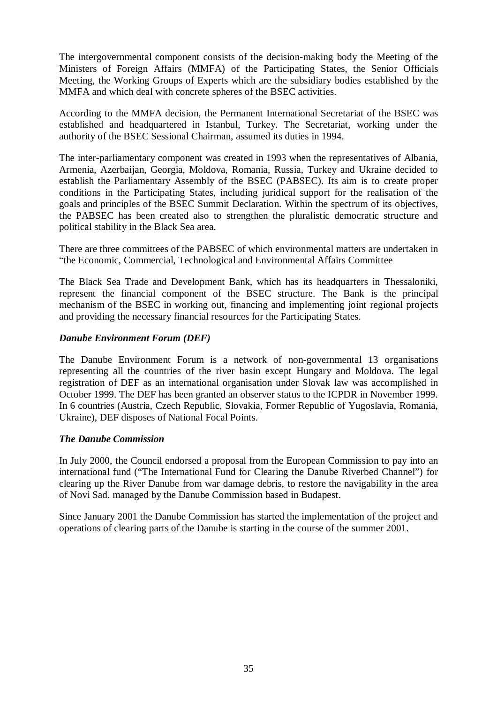The intergovernmental component consists of the decision-making body the Meeting of the Ministers of Foreign Affairs (MMFA) of the Participating States, the Senior Officials Meeting, the Working Groups of Experts which are the subsidiary bodies established by the MMFA and which deal with concrete spheres of the BSEC activities.

According to the MMFA decision, the Permanent International Secretariat of the BSEC was established and headquartered in Istanbul, Turkey. The Secretariat, working under the authority of the BSEC Sessional Chairman, assumed its duties in 1994.

The inter-parliamentary component was created in 1993 when the representatives of Albania, Armenia, Azerbaijan, Georgia, Moldova, Romania, Russia, Turkey and Ukraine decided to establish the Parliamentary Assembly of the BSEC (PABSEC). Its aim is to create proper conditions in the Participating States, including juridical support for the realisation of the goals and principles of the BSEC Summit Declaration. Within the spectrum of its objectives, the PABSEC has been created also to strengthen the pluralistic democratic structure and political stability in the Black Sea area.

There are three committees of the PABSEC of which environmental matters are undertaken in "the Economic, Commercial, Technological and Environmental Affairs Committee

The Black Sea Trade and Development Bank, which has its headquarters in Thessaloniki, represent the financial component of the BSEC structure. The Bank is the principal mechanism of the BSEC in working out, financing and implementing joint regional projects and providing the necessary financial resources for the Participating States.

### *Danube Environment Forum (DEF)*

The Danube Environment Forum is a network of non-governmental 13 organisations representing all the countries of the river basin except Hungary and Moldova. The legal registration of DEF as an international organisation under Slovak law was accomplished in October 1999. The DEF has been granted an observer status to the ICPDR in November 1999. In 6 countries (Austria, Czech Republic, Slovakia, Former Republic of Yugoslavia, Romania, Ukraine), DEF disposes of National Focal Points.

### *The Danube Commission*

In July 2000, the Council endorsed a proposal from the European Commission to pay into an international fund ("The International Fund for Clearing the Danube Riverbed Channel") for clearing up the River Danube from war damage debris, to restore the navigability in the area of Novi Sad. managed by the Danube Commission based in Budapest.

Since January 2001 the Danube Commission has started the implementation of the project and operations of clearing parts of the Danube is starting in the course of the summer 2001.